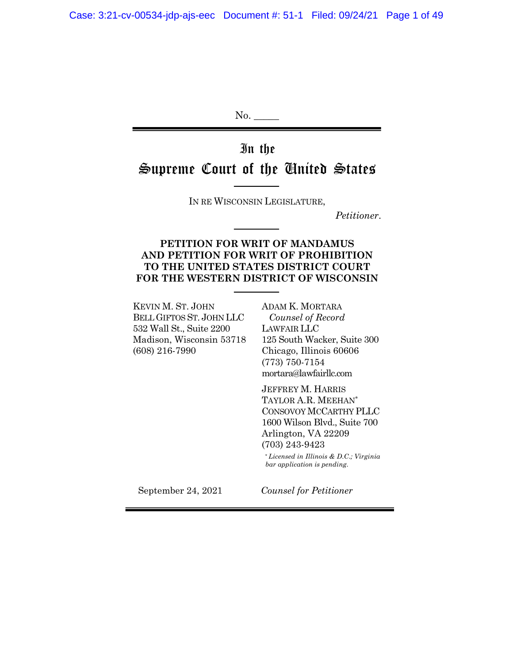No. \_\_\_\_\_

# In the Supreme Court of the United States

IN RE WISCONSIN LEGISLATURE,

*Petitioner*.

#### **PETITION FOR WRIT OF MANDAMUS AND PETITION FOR WRIT OF PROHIBITION TO THE UNITED STATES DISTRICT COURT FOR THE WESTERN DISTRICT OF WISCONSIN**

KEVIN M. ST. JOHN BELL GIFTOS ST. JOHN LLC 532 Wall St., Suite 2200 Madison, Wisconsin 53718 (608) 216-7990

ADAM K. MORTARA  *Counsel of Record* LAWFAIR LLC 125 South Wacker, Suite 300 Chicago, Illinois 60606 (773) 750-7154 mortara@lawfairllc.com

JEFFREY M. HARRIS TAYLOR A.R. MEEHAN\* CONSOVOY MCCARTHY PLLC 1600 Wilson Blvd., Suite 700 Arlington, VA 22209 (703) 243-9423

 \* *Licensed in Illinois & D*.*C*.*; Virginia bar application is pending*.

September 24, 2021 *Counsel for Petitioner*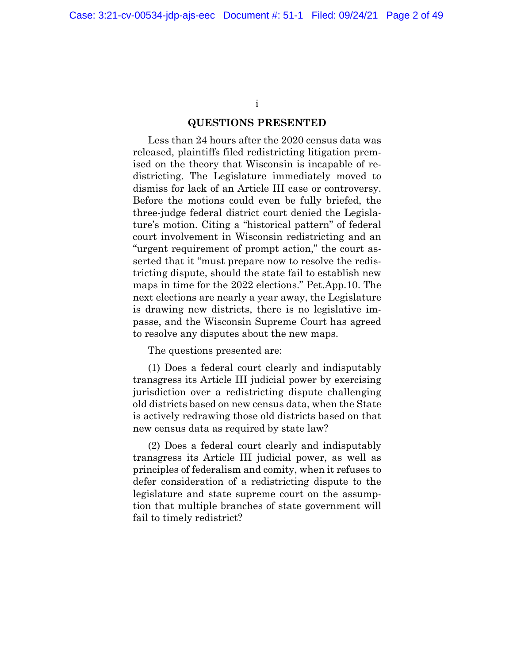i

#### **QUESTIONS PRESENTED**

Less than 24 hours after the 2020 census data was released, plaintiffs filed redistricting litigation premised on the theory that Wisconsin is incapable of redistricting. The Legislature immediately moved to dismiss for lack of an Article III case or controversy. Before the motions could even be fully briefed, the three-judge federal district court denied the Legislature's motion. Citing a "historical pattern" of federal court involvement in Wisconsin redistricting and an "urgent requirement of prompt action," the court asserted that it "must prepare now to resolve the redistricting dispute, should the state fail to establish new maps in time for the 2022 elections." Pet.App.10. The next elections are nearly a year away, the Legislature is drawing new districts, there is no legislative impasse, and the Wisconsin Supreme Court has agreed to resolve any disputes about the new maps.

The questions presented are:

(1) Does a federal court clearly and indisputably transgress its Article III judicial power by exercising jurisdiction over a redistricting dispute challenging old districts based on new census data, when the State is actively redrawing those old districts based on that new census data as required by state law?

(2) Does a federal court clearly and indisputably transgress its Article III judicial power, as well as principles of federalism and comity, when it refuses to defer consideration of a redistricting dispute to the legislature and state supreme court on the assumption that multiple branches of state government will fail to timely redistrict?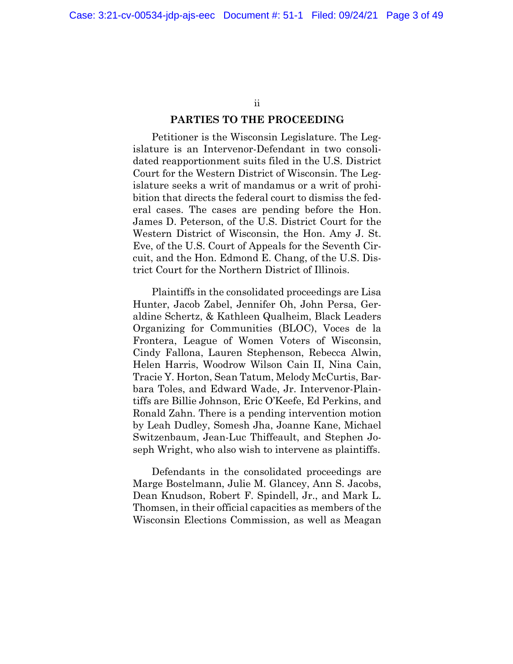ii

#### **PARTIES TO THE PROCEEDING**

Petitioner is the Wisconsin Legislature. The Legislature is an Intervenor-Defendant in two consolidated reapportionment suits filed in the U.S. District Court for the Western District of Wisconsin. The Legislature seeks a writ of mandamus or a writ of prohibition that directs the federal court to dismiss the federal cases. The cases are pending before the Hon. James D. Peterson, of the U.S. District Court for the Western District of Wisconsin, the Hon. Amy J. St. Eve, of the U.S. Court of Appeals for the Seventh Circuit, and the Hon. Edmond E. Chang, of the U.S. District Court for the Northern District of Illinois.

Plaintiffs in the consolidated proceedings are Lisa Hunter, Jacob Zabel, Jennifer Oh, John Persa, Geraldine Schertz, & Kathleen Qualheim, Black Leaders Organizing for Communities (BLOC), Voces de la Frontera, League of Women Voters of Wisconsin, Cindy Fallona, Lauren Stephenson, Rebecca Alwin, Helen Harris, Woodrow Wilson Cain II, Nina Cain, Tracie Y. Horton, Sean Tatum, Melody McCurtis, Barbara Toles, and Edward Wade, Jr. Intervenor-Plaintiffs are Billie Johnson, Eric O'Keefe, Ed Perkins, and Ronald Zahn. There is a pending intervention motion by Leah Dudley, Somesh Jha, Joanne Kane, Michael Switzenbaum, Jean-Luc Thiffeault, and Stephen Joseph Wright, who also wish to intervene as plaintiffs.

Defendants in the consolidated proceedings are Marge Bostelmann, Julie M. Glancey, Ann S. Jacobs, Dean Knudson, Robert F. Spindell, Jr., and Mark L. Thomsen, in their official capacities as members of the Wisconsin Elections Commission, as well as Meagan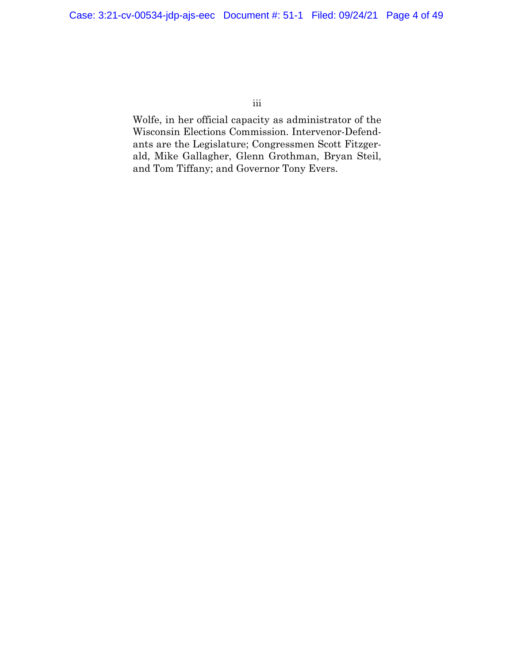iii

Wolfe, in her official capacity as administrator of the Wisconsin Elections Commission. Intervenor-Defendants are the Legislature; Congressmen Scott Fitzgerald, Mike Gallagher, Glenn Grothman, Bryan Steil, and Tom Tiffany; and Governor Tony Evers.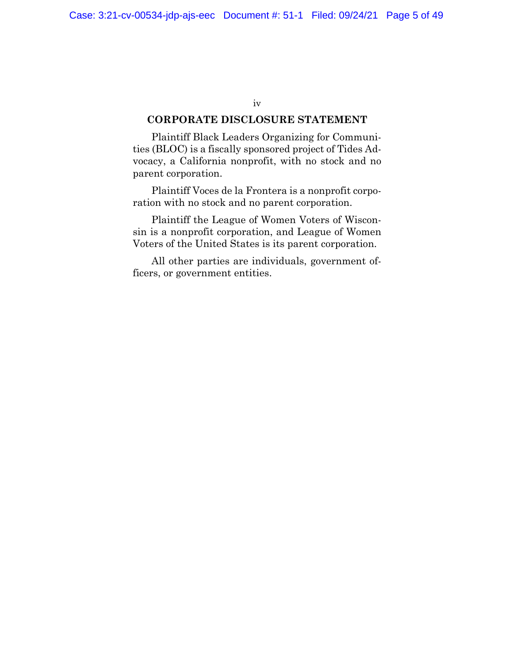#### iv

#### **CORPORATE DISCLOSURE STATEMENT**

Plaintiff Black Leaders Organizing for Communities (BLOC) is a fiscally sponsored project of Tides Advocacy, a California nonprofit, with no stock and no parent corporation.

Plaintiff Voces de la Frontera is a nonprofit corporation with no stock and no parent corporation.

Plaintiff the League of Women Voters of Wisconsin is a nonprofit corporation, and League of Women Voters of the United States is its parent corporation.

All other parties are individuals, government officers, or government entities.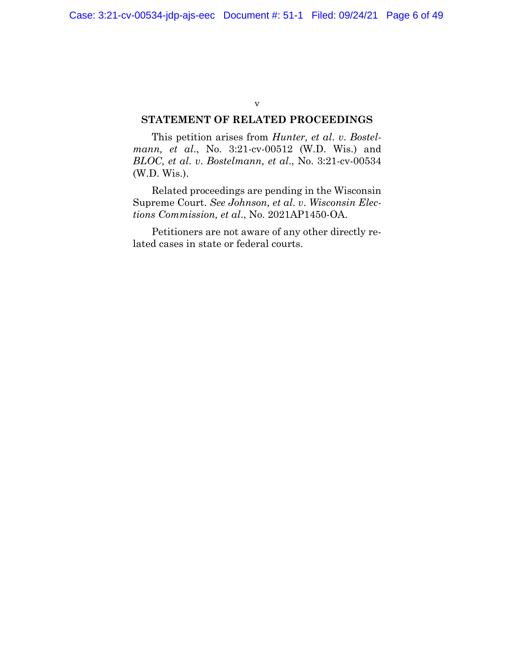#### v

#### **STATEMENT OF RELATED PROCEEDINGS**

This petition arises from *Hunter, et al*. *v*. *Bostelmann, et al*., No. 3:21-cv-00512 (W.D. Wis.) and *BLOC, et al*. *v*. *Bostelmann, et al*., No. 3:21-cv-00534 (W.D. Wis.).

Related proceedings are pending in the Wisconsin Supreme Court. *See Johnson, et al*. *v*. *Wisconsin Elections Commission, et al*., No. 2021AP1450-OA.

Petitioners are not aware of any other directly related cases in state or federal courts.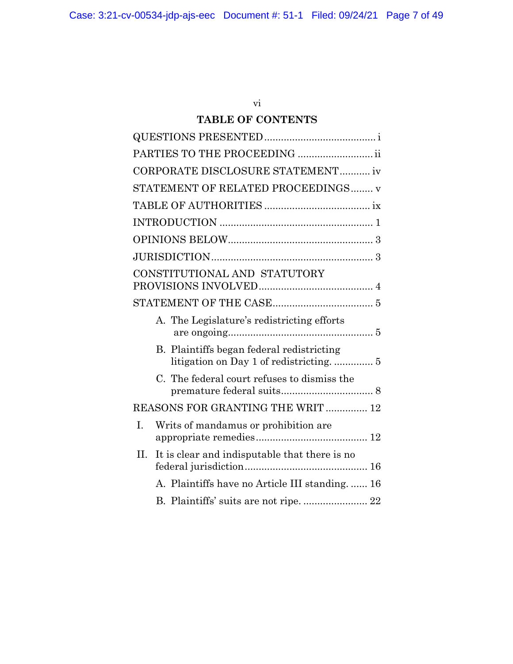## vi

## **TABLE OF CONTENTS**

| PARTIES TO THE PROCEEDING  ii                       |
|-----------------------------------------------------|
| CORPORATE DISCLOSURE STATEMENT iv                   |
| STATEMENT OF RELATED PROCEEDINGS v                  |
|                                                     |
|                                                     |
|                                                     |
|                                                     |
| CONSTITUTIONAL AND STATUTORY                        |
|                                                     |
| A. The Legislature's redistricting efforts          |
| B. Plaintiffs began federal redistricting           |
| C. The federal court refuses to dismiss the         |
| REASONS FOR GRANTING THE WRIT  12                   |
| Ī.<br>Writs of mandamus or prohibition are.         |
| It is clear and indisputable that there is no<br>H. |
| A. Plaintiffs have no Article III standing.  16     |
|                                                     |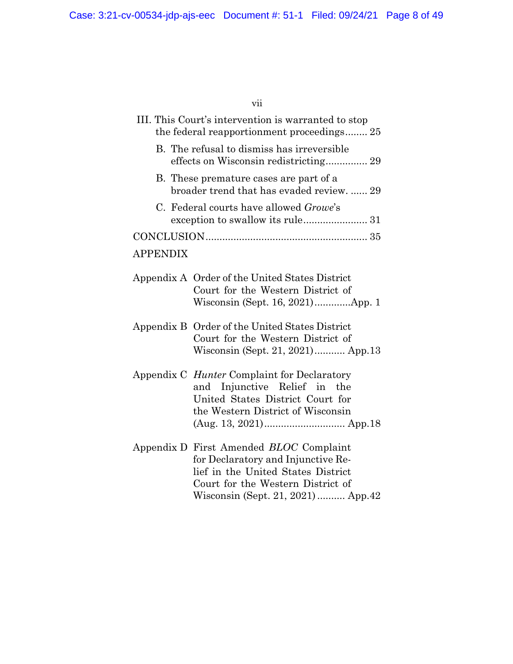vii

| III. This Court's intervention is warranted to stop<br>the federal reapportionment proceedings 25                                                                                              |
|------------------------------------------------------------------------------------------------------------------------------------------------------------------------------------------------|
| B. The refusal to dismiss has irreversible                                                                                                                                                     |
| B. These premature cases are part of a<br>broader trend that has evaded review.  29                                                                                                            |
| C. Federal courts have allowed <i>Growe</i> 's                                                                                                                                                 |
|                                                                                                                                                                                                |
| <b>APPENDIX</b>                                                                                                                                                                                |
| Appendix A Order of the United States District<br>Court for the Western District of<br>Wisconsin (Sept. 16, 2021)App. 1                                                                        |
| Appendix B Order of the United States District<br>Court for the Western District of<br>Wisconsin (Sept. 21, 2021) App.13                                                                       |
| Appendix C <i>Hunter</i> Complaint for Declaratory<br>and Injunctive Relief in the<br>United States District Court for<br>the Western District of Wisconsin                                    |
| Appendix D First Amended BLOC Complaint<br>for Declaratory and Injunctive Re-<br>lief in the United States District<br>Court for the Western District of<br>Wisconsin (Sept. 21, 2021) App. 42 |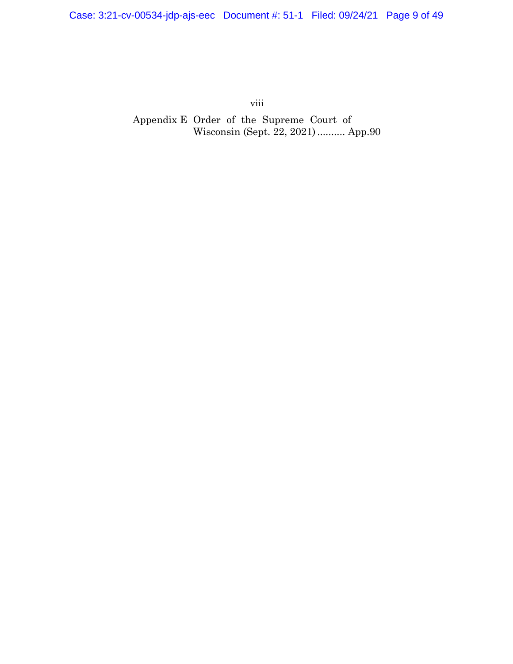viii

Appendix E Order of the Supreme Court of Wisconsin (Sept. 22, 2021).......... App.90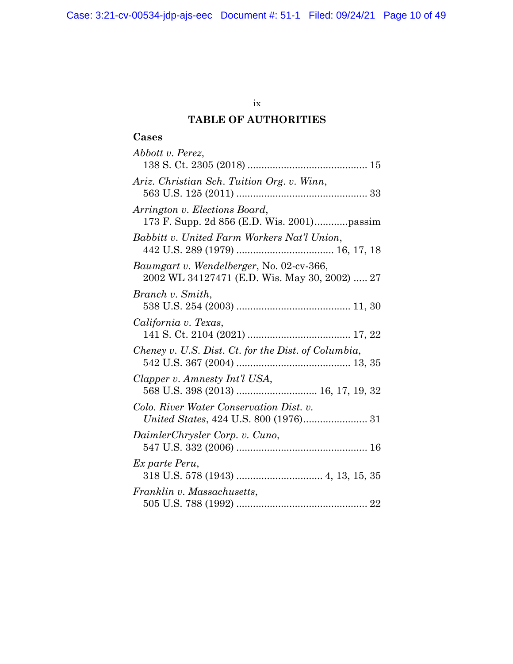Case: 3:21-cv-00534-jdp-ajs-eec Document #: 51-1 Filed: 09/24/21 Page 10 of 49

### ix

## **TABLE OF AUTHORITIES**

## **Cases**

| Abbott v. Perez,                                                                          |
|-------------------------------------------------------------------------------------------|
|                                                                                           |
| Ariz. Christian Sch. Tuition Org. v. Winn,                                                |
| Arrington v. Elections Board,                                                             |
| Babbitt v. United Farm Workers Nat'l Union,                                               |
| Baumgart v. Wendelberger, No. 02-cv-366,<br>2002 WL 34127471 (E.D. Wis. May 30, 2002)  27 |
| Branch v. Smith,                                                                          |
| California v. Texas,                                                                      |
| Cheney v. U.S. Dist. Ct. for the Dist. of Columbia,                                       |
| Clapper v. Amnesty Int'l USA,<br>568 U.S. 398 (2013)  16, 17, 19, 32                      |
| Colo. River Water Conservation Dist. v.                                                   |
| DaimlerChrysler Corp. v. Cuno,                                                            |
| Ex parte Peru,                                                                            |
| Franklin v. Massachusetts,                                                                |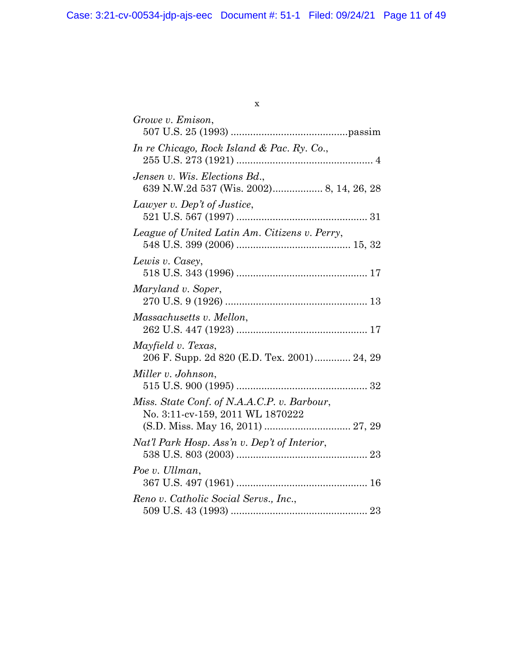| ×,<br>۹<br>ł<br>I |
|-------------------|
|                   |
|                   |

| Growe v. Emison,                                                                                                     |
|----------------------------------------------------------------------------------------------------------------------|
| In re Chicago, Rock Island & Pac. Ry. Co.,                                                                           |
| Jensen v. Wis. Elections Bd.,<br>639 N.W.2d 537 (Wis. 2002) 8, 14, 26, 28                                            |
| Lawyer v. Dep't of Justice,                                                                                          |
| League of United Latin Am. Citizens v. Perry,                                                                        |
| Lewis v. Casey,                                                                                                      |
| Maryland v. Soper,                                                                                                   |
| Massachusetts v. Mellon,                                                                                             |
| Mayfield v. Texas,<br>206 F. Supp. 2d 820 (E.D. Tex. 2001) 24, 29                                                    |
| Miller v. Johnson,                                                                                                   |
| Miss. State Conf. of N.A.A.C.P. v. Barbour,<br>No. 3:11-cv-159, 2011 WL 1870222<br>(S.D. Miss. May 16, 2011)  27, 29 |
| Nat'l Park Hosp. Ass'n v. Dep't of Interior,                                                                         |
| Poe v. Ullman,                                                                                                       |
| Reno v. Catholic Social Servs., Inc.,                                                                                |
|                                                                                                                      |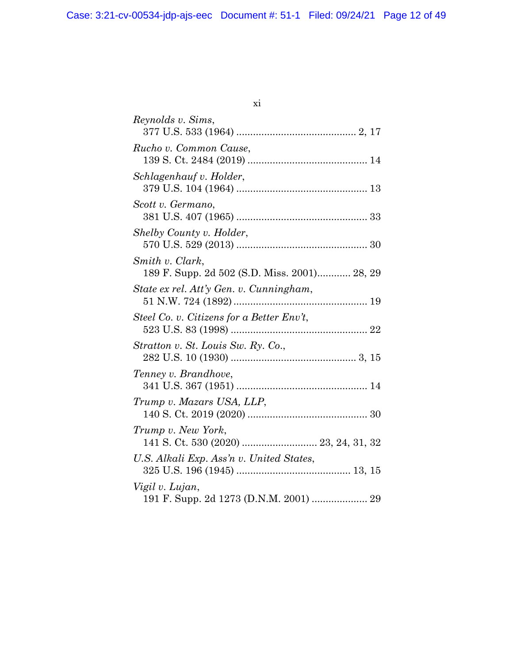|         | o este a |
|---------|----------|
| ۰.<br>× |          |
|         |          |

| Reynolds v. Sims,                                               |
|-----------------------------------------------------------------|
| Rucho v. Common Cause,                                          |
| Schlagenhauf v. Holder,                                         |
| Scott v. Germano,                                               |
| Shelby County v. Holder,                                        |
| Smith v. Clark,<br>189 F. Supp. 2d 502 (S.D. Miss. 2001) 28, 29 |
| State ex rel. Att'y Gen. v. Cunningham,                         |
| Steel Co. v. Citizens for a Better $Env$ ,                      |
| Stratton v. St. Louis Sw. Ry. Co.,                              |
| Tenney v. Brandhove,                                            |
| Trump v. Mazars USA, LLP,                                       |
| Trump v. New York,                                              |
| U.S. Alkali Exp. Ass'n v. United States,                        |
| Vigil v. Lujan,                                                 |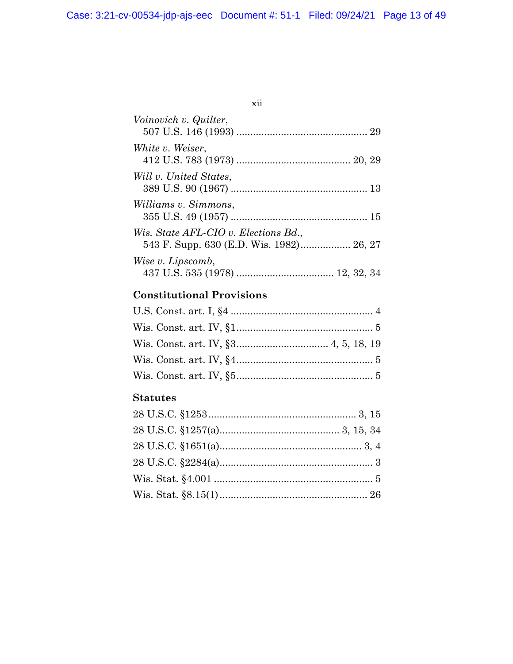xii

| Voinovich v. Quilter,                |  |
|--------------------------------------|--|
| White v. Weiser,                     |  |
| Will v. United States,               |  |
| Williams v. Simmons,                 |  |
| Wis. State AFL-CIO v. Elections Bd., |  |
| Wise v. Lipscomb,                    |  |

## **Constitutional Provisions**

## **Statutes**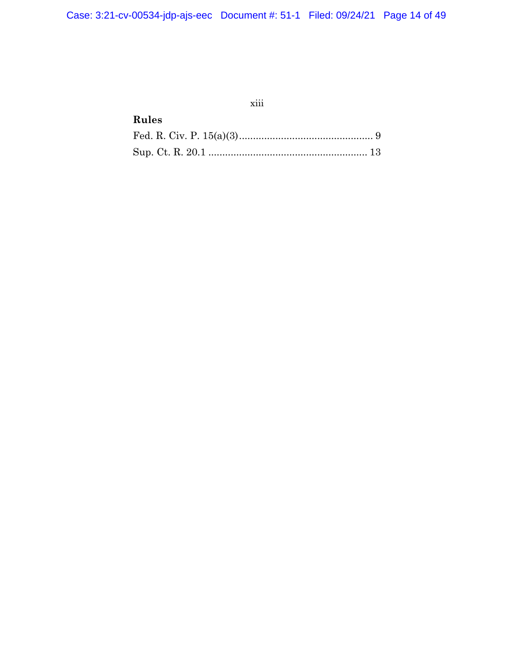## xiii

## **Rules**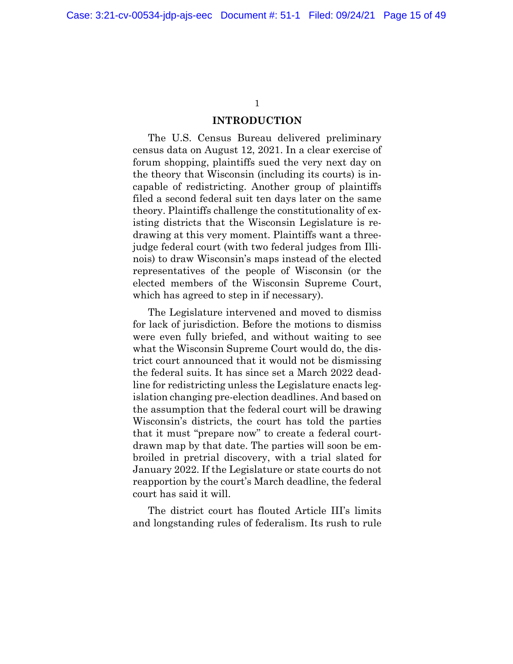#### **INTRODUCTION**

The U.S. Census Bureau delivered preliminary census data on August 12, 2021. In a clear exercise of forum shopping, plaintiffs sued the very next day on the theory that Wisconsin (including its courts) is incapable of redistricting. Another group of plaintiffs filed a second federal suit ten days later on the same theory. Plaintiffs challenge the constitutionality of existing districts that the Wisconsin Legislature is redrawing at this very moment. Plaintiffs want a threejudge federal court (with two federal judges from Illinois) to draw Wisconsin's maps instead of the elected representatives of the people of Wisconsin (or the elected members of the Wisconsin Supreme Court, which has agreed to step in if necessary).

The Legislature intervened and moved to dismiss for lack of jurisdiction. Before the motions to dismiss were even fully briefed, and without waiting to see what the Wisconsin Supreme Court would do, the district court announced that it would not be dismissing the federal suits. It has since set a March 2022 deadline for redistricting unless the Legislature enacts legislation changing pre-election deadlines. And based on the assumption that the federal court will be drawing Wisconsin's districts, the court has told the parties that it must "prepare now" to create a federal courtdrawn map by that date. The parties will soon be embroiled in pretrial discovery, with a trial slated for January 2022. If the Legislature or state courts do not reapportion by the court's March deadline, the federal court has said it will.

The district court has flouted Article III's limits and longstanding rules of federalism. Its rush to rule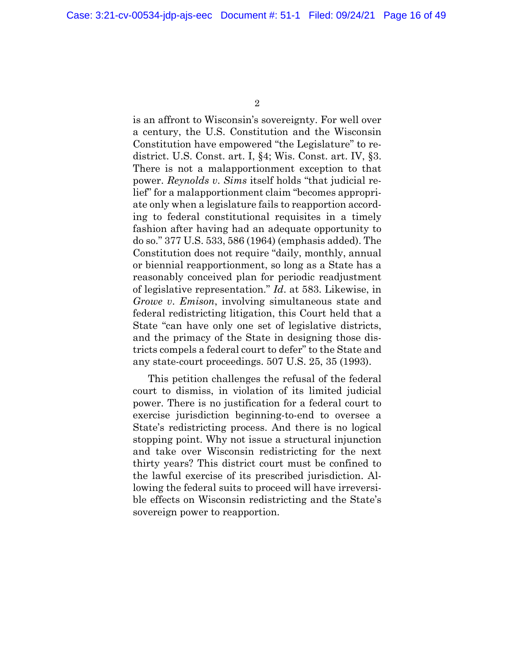is an affront to Wisconsin's sovereignty. For well over a century, the U.S. Constitution and the Wisconsin Constitution have empowered "the Legislature" to redistrict. U.S. Const. art. I, §4; Wis. Const. art. IV, §3. There is not a malapportionment exception to that power. *Reynolds v*. *Sims* itself holds "that judicial relief" for a malapportionment claim "becomes appropriate only when a legislature fails to reapportion according to federal constitutional requisites in a timely fashion after having had an adequate opportunity to do so." 377 U.S. 533, 586 (1964) (emphasis added). The Constitution does not require "daily, monthly, annual or biennial reapportionment, so long as a State has a reasonably conceived plan for periodic readjustment of legislative representation." *Id*. at 583. Likewise, in *Growe v*. *Emison*, involving simultaneous state and federal redistricting litigation, this Court held that a State "can have only one set of legislative districts, and the primacy of the State in designing those districts compels a federal court to defer" to the State and any state-court proceedings. 507 U.S. 25, 35 (1993).

This petition challenges the refusal of the federal court to dismiss, in violation of its limited judicial power. There is no justification for a federal court to exercise jurisdiction beginning-to-end to oversee a State's redistricting process. And there is no logical stopping point. Why not issue a structural injunction and take over Wisconsin redistricting for the next thirty years? This district court must be confined to the lawful exercise of its prescribed jurisdiction. Allowing the federal suits to proceed will have irreversible effects on Wisconsin redistricting and the State's sovereign power to reapportion.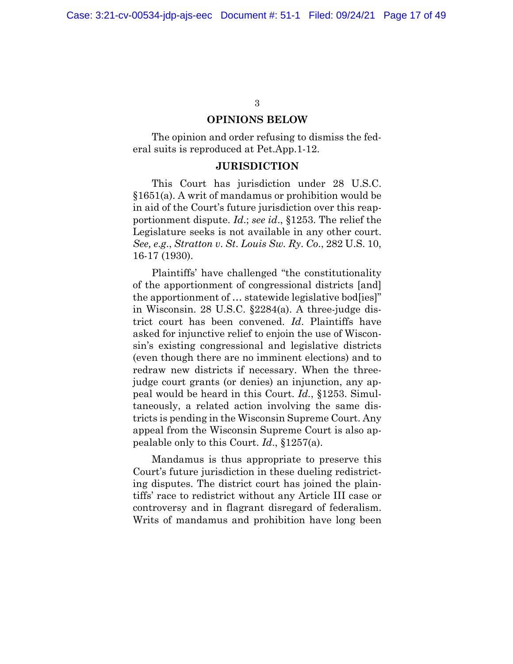#### **OPINIONS BELOW**

The opinion and order refusing to dismiss the federal suits is reproduced at Pet.App.1-12.

#### **JURISDICTION**

This Court has jurisdiction under 28 U.S.C. §1651(a). A writ of mandamus or prohibition would be in aid of the Court's future jurisdiction over this reapportionment dispute. *Id*.; *see id*., §1253. The relief the Legislature seeks is not available in any other court. *See, e*.*g*., *Stratton v*. *St*. *Louis Sw. Ry*. *Co*., 282 U.S. 10, 16-17 (1930).

Plaintiffs' have challenged "the constitutionality of the apportionment of congressional districts [and] the apportionment of … statewide legislative bod[ies]" in Wisconsin. 28 U.S.C. §2284(a). A three-judge district court has been convened. *Id*. Plaintiffs have asked for injunctive relief to enjoin the use of Wisconsin's existing congressional and legislative districts (even though there are no imminent elections) and to redraw new districts if necessary. When the threejudge court grants (or denies) an injunction, any appeal would be heard in this Court. *Id.*, §1253. Simultaneously, a related action involving the same districts is pending in the Wisconsin Supreme Court. Any appeal from the Wisconsin Supreme Court is also appealable only to this Court. *Id*., §1257(a).

Mandamus is thus appropriate to preserve this Court's future jurisdiction in these dueling redistricting disputes. The district court has joined the plaintiffs' race to redistrict without any Article III case or controversy and in flagrant disregard of federalism. Writs of mandamus and prohibition have long been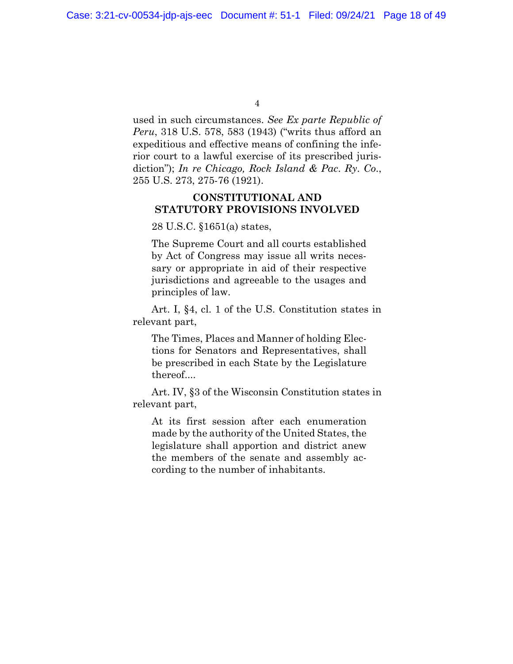used in such circumstances. *See Ex parte Republic of Peru*, 318 U.S. 578, 583 (1943) ("writs thus afford an expeditious and effective means of confining the inferior court to a lawful exercise of its prescribed jurisdiction"); *In re Chicago, Rock Island & Pac*. *Ry*. *Co*., 255 U.S. 273, 275-76 (1921).

#### **CONSTITUTIONAL AND STATUTORY PROVISIONS INVOLVED**

28 U.S.C. §1651(a) states,

The Supreme Court and all courts established by Act of Congress may issue all writs necessary or appropriate in aid of their respective jurisdictions and agreeable to the usages and principles of law.

Art. I, §4, cl. 1 of the U.S. Constitution states in relevant part,

The Times, Places and Manner of holding Elections for Senators and Representatives, shall be prescribed in each State by the Legislature thereof....

Art. IV, §3 of the Wisconsin Constitution states in relevant part,

At its first session after each enumeration made by the authority of the United States, the legislature shall apportion and district anew the members of the senate and assembly according to the number of inhabitants.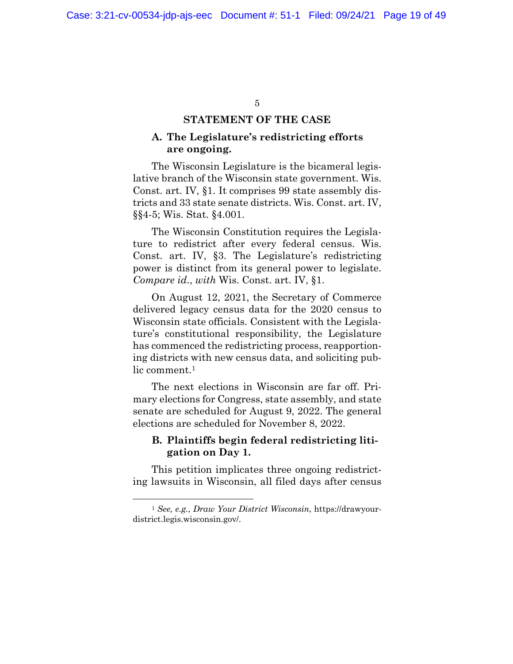#### **STATEMENT OF THE CASE**

#### **A. The Legislature's redistricting efforts are ongoing.**

The Wisconsin Legislature is the bicameral legislative branch of the Wisconsin state government. Wis. Const. art. IV, §1. It comprises 99 state assembly districts and 33 state senate districts. Wis. Const. art. IV, §§4-5; Wis. Stat. §4.001.

The Wisconsin Constitution requires the Legislature to redistrict after every federal census. Wis. Const. art. IV, §3. The Legislature's redistricting power is distinct from its general power to legislate. *Compare id*., *with* Wis. Const. art. IV, §1.

On August 12, 2021, the Secretary of Commerce delivered legacy census data for the 2020 census to Wisconsin state officials. Consistent with the Legislature's constitutional responsibility, the Legislature has commenced the redistricting process, reapportioning districts with new census data, and soliciting public comment.<sup>1</sup>

The next elections in Wisconsin are far off. Primary elections for Congress, state assembly, and state senate are scheduled for August 9, 2022. The general elections are scheduled for November 8, 2022.

#### **B. Plaintiffs begin federal redistricting litigation on Day 1.**

This petition implicates three ongoing redistricting lawsuits in Wisconsin, all filed days after census

<sup>1</sup> *See, e.g.*, *Draw Your District Wisconsin*, https://drawyourdistrict.legis.wisconsin.gov/.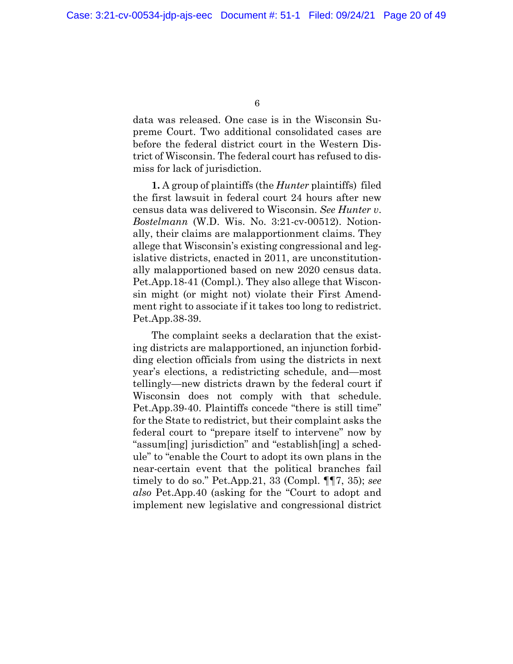data was released. One case is in the Wisconsin Supreme Court. Two additional consolidated cases are before the federal district court in the Western District of Wisconsin. The federal court has refused to dismiss for lack of jurisdiction.

**1.** A group of plaintiffs (the *Hunter* plaintiffs) filed the first lawsuit in federal court 24 hours after new census data was delivered to Wisconsin. *See Hunter v*. *Bostelmann* (W.D. Wis. No. 3:21-cv-00512). Notionally, their claims are malapportionment claims. They allege that Wisconsin's existing congressional and legislative districts, enacted in 2011, are unconstitutionally malapportioned based on new 2020 census data. Pet.App.18-41 (Compl.). They also allege that Wisconsin might (or might not) violate their First Amendment right to associate if it takes too long to redistrict. Pet.App.38-39.

The complaint seeks a declaration that the existing districts are malapportioned, an injunction forbidding election officials from using the districts in next year's elections, a redistricting schedule, and—most tellingly—new districts drawn by the federal court if Wisconsin does not comply with that schedule. Pet.App.39-40. Plaintiffs concede "there is still time" for the State to redistrict, but their complaint asks the federal court to "prepare itself to intervene" now by "assum[ing] jurisdiction" and "establish[ing] a schedule" to "enable the Court to adopt its own plans in the near-certain event that the political branches fail timely to do so." Pet.App.21, 33 (Compl. ¶¶7, 35); *see also* Pet.App.40 (asking for the "Court to adopt and implement new legislative and congressional district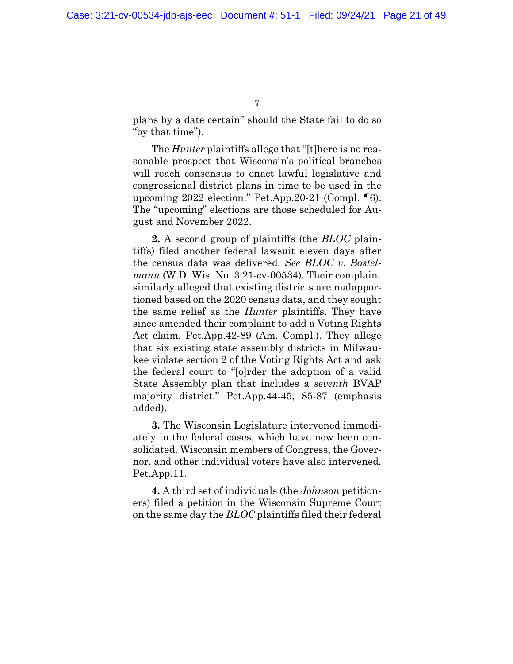plans by a date certain" should the State fail to do so "by that time").

The *Hunter* plaintiffs allege that "[t]here is no reasonable prospect that Wisconsin's political branches will reach consensus to enact lawful legislative and congressional district plans in time to be used in the upcoming 2022 election." Pet.App.20-21 (Compl. ¶6). The "upcoming" elections are those scheduled for August and November 2022.

**2.** A second group of plaintiffs (the *BLOC* plaintiffs) filed another federal lawsuit eleven days after the census data was delivered. *See BLOC v*. *Bostelmann* (W.D. Wis. No. 3:21-cv-00534). Their complaint similarly alleged that existing districts are malapportioned based on the 2020 census data, and they sought the same relief as the *Hunter* plaintiffs. They have since amended their complaint to add a Voting Rights Act claim. Pet.App.42-89 (Am. Compl.). They allege that six existing state assembly districts in Milwaukee violate section 2 of the Voting Rights Act and ask the federal court to "[o]rder the adoption of a valid State Assembly plan that includes a *seventh* BVAP majority district." Pet.App.44-45, 85-87 (emphasis added).

**3.** The Wisconsin Legislature intervened immediately in the federal cases, which have now been consolidated. Wisconsin members of Congress, the Governor, and other individual voters have also intervened. Pet.App.11.

**4.** A third set of individuals (the *Johnson* petitioners) filed a petition in the Wisconsin Supreme Court on the same day the *BLOC* plaintiffs filed their federal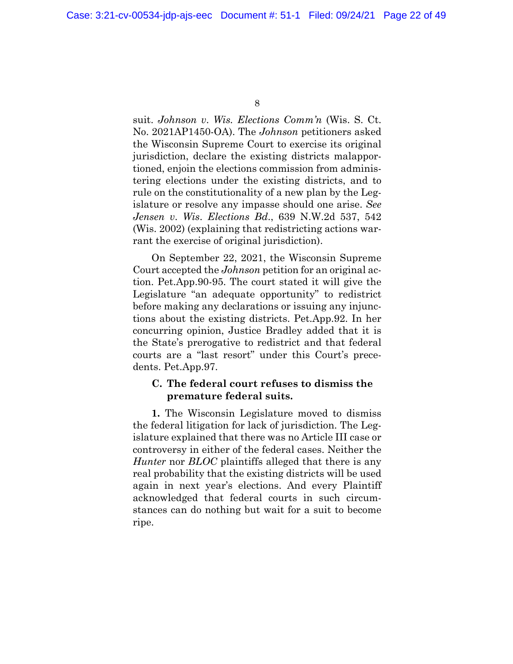suit. *Johnson v*. *Wis. Elections Comm'n* (Wis. S. Ct. No. 2021AP1450-OA). The *Johnson* petitioners asked the Wisconsin Supreme Court to exercise its original jurisdiction, declare the existing districts malapportioned, enjoin the elections commission from administering elections under the existing districts, and to rule on the constitutionality of a new plan by the Legislature or resolve any impasse should one arise. *See Jensen v*. *Wis*. *Elections Bd*., 639 N.W.2d 537, 542 (Wis. 2002) (explaining that redistricting actions warrant the exercise of original jurisdiction).

On September 22, 2021, the Wisconsin Supreme Court accepted the *Johnson* petition for an original action. Pet.App.90-95. The court stated it will give the Legislature "an adequate opportunity" to redistrict before making any declarations or issuing any injunctions about the existing districts. Pet.App.92. In her concurring opinion, Justice Bradley added that it is the State's prerogative to redistrict and that federal courts are a "last resort" under this Court's precedents. Pet.App.97.

#### **C. The federal court refuses to dismiss the premature federal suits.**

**1.** The Wisconsin Legislature moved to dismiss the federal litigation for lack of jurisdiction. The Legislature explained that there was no Article III case or controversy in either of the federal cases. Neither the *Hunter* nor *BLOC* plaintiffs alleged that there is any real probability that the existing districts will be used again in next year's elections. And every Plaintiff acknowledged that federal courts in such circumstances can do nothing but wait for a suit to become ripe.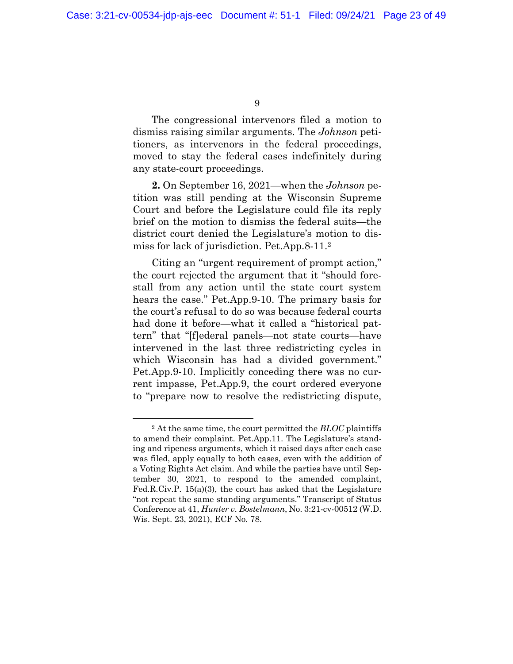The congressional intervenors filed a motion to dismiss raising similar arguments. The *Johnson* petitioners, as intervenors in the federal proceedings, moved to stay the federal cases indefinitely during any state-court proceedings.

**2.** On September 16, 2021—when the *Johnson* petition was still pending at the Wisconsin Supreme Court and before the Legislature could file its reply brief on the motion to dismiss the federal suits—the district court denied the Legislature's motion to dismiss for lack of jurisdiction. Pet.App.8-11.<sup>2</sup>

Citing an "urgent requirement of prompt action," the court rejected the argument that it "should forestall from any action until the state court system hears the case." Pet.App.9-10. The primary basis for the court's refusal to do so was because federal courts had done it before—what it called a "historical pattern" that "[f]ederal panels—not state courts—have intervened in the last three redistricting cycles in which Wisconsin has had a divided government." Pet.App.9-10. Implicitly conceding there was no current impasse, Pet.App.9, the court ordered everyone to "prepare now to resolve the redistricting dispute,

<sup>2</sup> At the same time, the court permitted the *BLOC* plaintiffs to amend their complaint. Pet.App.11. The Legislature's standing and ripeness arguments, which it raised days after each case was filed, apply equally to both cases, even with the addition of a Voting Rights Act claim. And while the parties have until September 30, 2021, to respond to the amended complaint, Fed.R.Civ.P. 15(a)(3), the court has asked that the Legislature "not repeat the same standing arguments." Transcript of Status Conference at 41, *Hunter v. Bostelmann*, No. 3:21-cv-00512 (W.D. Wis. Sept. 23, 2021), ECF No. 78.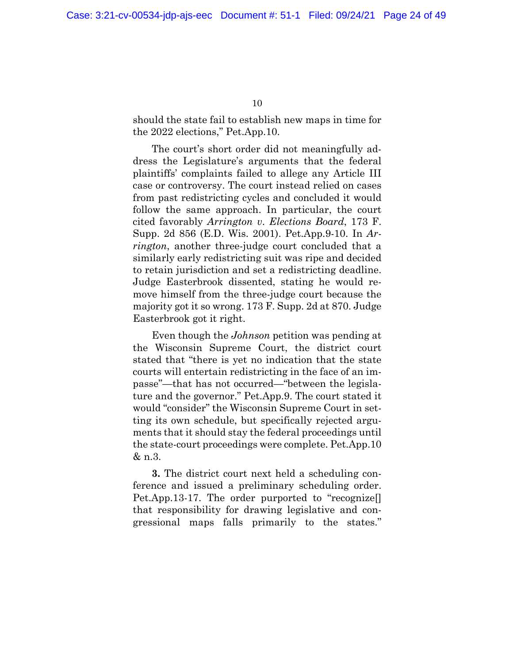should the state fail to establish new maps in time for the 2022 elections," Pet.App.10.

The court's short order did not meaningfully address the Legislature's arguments that the federal plaintiffs' complaints failed to allege any Article III case or controversy. The court instead relied on cases from past redistricting cycles and concluded it would follow the same approach. In particular, the court cited favorably *Arrington v*. *Elections Board*, 173 F. Supp. 2d 856 (E.D. Wis. 2001). Pet.App.9-10. In *Arrington*, another three-judge court concluded that a similarly early redistricting suit was ripe and decided to retain jurisdiction and set a redistricting deadline. Judge Easterbrook dissented, stating he would remove himself from the three-judge court because the majority got it so wrong. 173 F. Supp. 2d at 870. Judge Easterbrook got it right.

Even though the *Johnson* petition was pending at the Wisconsin Supreme Court, the district court stated that "there is yet no indication that the state courts will entertain redistricting in the face of an impasse"—that has not occurred—"between the legislature and the governor." Pet.App.9. The court stated it would "consider" the Wisconsin Supreme Court in setting its own schedule, but specifically rejected arguments that it should stay the federal proceedings until the state-court proceedings were complete. Pet.App.10 & n.3.

**3.** The district court next held a scheduling conference and issued a preliminary scheduling order. Pet.App.13-17. The order purported to "recognize[] that responsibility for drawing legislative and congressional maps falls primarily to the states."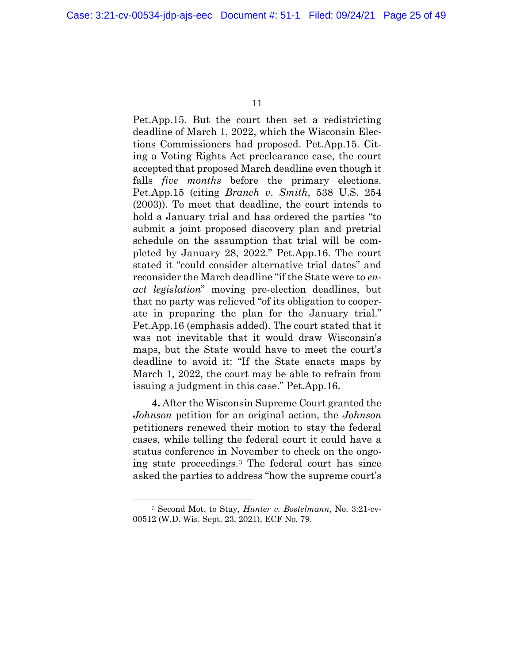Pet.App.15. But the court then set a redistricting deadline of March 1, 2022, which the Wisconsin Elections Commissioners had proposed. Pet.App.15. Citing a Voting Rights Act preclearance case, the court accepted that proposed March deadline even though it falls *five months* before the primary elections. Pet.App.15 (citing *Branch v*. *Smith*, 538 U.S. 254 (2003)). To meet that deadline, the court intends to hold a January trial and has ordered the parties "to submit a joint proposed discovery plan and pretrial schedule on the assumption that trial will be completed by January 28, 2022." Pet.App.16. The court stated it "could consider alternative trial dates" and reconsider the March deadline "if the State were to *enact legislation*" moving pre-election deadlines, but that no party was relieved "of its obligation to cooperate in preparing the plan for the January trial." Pet.App.16 (emphasis added). The court stated that it was not inevitable that it would draw Wisconsin's maps, but the State would have to meet the court's deadline to avoid it: "If the State enacts maps by March 1, 2022, the court may be able to refrain from issuing a judgment in this case." Pet.App.16.

**4.** After the Wisconsin Supreme Court granted the *Johnson* petition for an original action, the *Johnson*  petitioners renewed their motion to stay the federal cases, while telling the federal court it could have a status conference in November to check on the ongoing state proceedings.<sup>3</sup> The federal court has since asked the parties to address "how the supreme court's

<sup>3</sup> Second Mot. to Stay, *Hunter v. Bostelmann*, No. 3:21-cv-00512 (W.D. Wis. Sept. 23, 2021), ECF No. 79.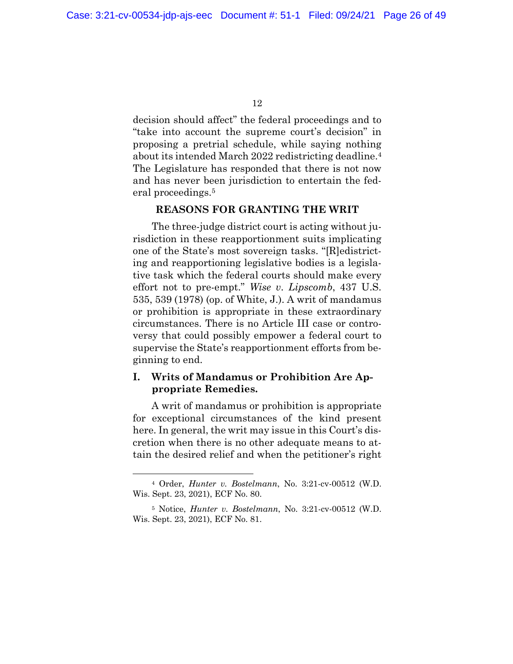decision should affect" the federal proceedings and to "take into account the supreme court's decision" in proposing a pretrial schedule, while saying nothing about its intended March 2022 redistricting deadline.<sup>4</sup> The Legislature has responded that there is not now and has never been jurisdiction to entertain the federal proceedings.<sup>5</sup>

#### **REASONS FOR GRANTING THE WRIT**

The three-judge district court is acting without jurisdiction in these reapportionment suits implicating one of the State's most sovereign tasks. "[R]edistricting and reapportioning legislative bodies is a legislative task which the federal courts should make every effort not to pre-empt." *Wise v*. *Lipscomb*, 437 U.S. 535, 539 (1978) (op. of White, J.). A writ of mandamus or prohibition is appropriate in these extraordinary circumstances. There is no Article III case or controversy that could possibly empower a federal court to supervise the State's reapportionment efforts from beginning to end.

#### **I. Writs of Mandamus or Prohibition Are Appropriate Remedies.**

A writ of mandamus or prohibition is appropriate for exceptional circumstances of the kind present here. In general, the writ may issue in this Court's discretion when there is no other adequate means to attain the desired relief and when the petitioner's right

<sup>4</sup> Order, *Hunter v. Bostelmann*, No. 3:21-cv-00512 (W.D. Wis. Sept. 23, 2021), ECF No. 80.

<sup>5</sup> Notice, *Hunter v. Bostelmann*, No. 3:21-cv-00512 (W.D. Wis. Sept. 23, 2021), ECF No. 81.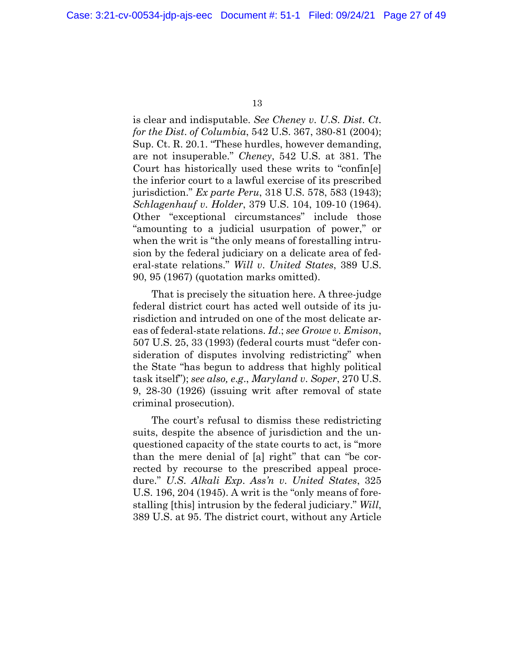is clear and indisputable. *See Cheney v*. *U*.*S*. *Dist*. *Ct*. *for the Dist*. *of Columbia*, 542 U.S. 367, 380-81 (2004); Sup. Ct. R. 20.1. "These hurdles, however demanding, are not insuperable." *Cheney*, 542 U.S. at 381. The Court has historically used these writs to "confin[e] the inferior court to a lawful exercise of its prescribed jurisdiction." *Ex parte Peru*, 318 U.S. 578, 583 (1943); *Schlagenhauf v*. *Holder*, 379 U.S. 104, 109-10 (1964). Other "exceptional circumstances" include those "amounting to a judicial usurpation of power," or when the writ is "the only means of forestalling intrusion by the federal judiciary on a delicate area of federal-state relations." *Will v*. *United States*, 389 U.S. 90, 95 (1967) (quotation marks omitted).

That is precisely the situation here. A three-judge federal district court has acted well outside of its jurisdiction and intruded on one of the most delicate areas of federal-state relations. *Id*.; *see Growe v. Emison*, 507 U.S. 25, 33 (1993) (federal courts must "defer consideration of disputes involving redistricting" when the State "has begun to address that highly political task itself"); *see also, e*.*g*., *Maryland v*. *Soper*, 270 U.S. 9, 28-30 (1926) (issuing writ after removal of state criminal prosecution).

The court's refusal to dismiss these redistricting suits, despite the absence of jurisdiction and the unquestioned capacity of the state courts to act, is "more than the mere denial of [a] right" that can "be corrected by recourse to the prescribed appeal procedure." *U*.*S*. *Alkali Exp*. *Ass'n v*. *United States*, 325 U.S. 196, 204 (1945). A writ is the "only means of forestalling [this] intrusion by the federal judiciary." *Will*, 389 U.S. at 95. The district court, without any Article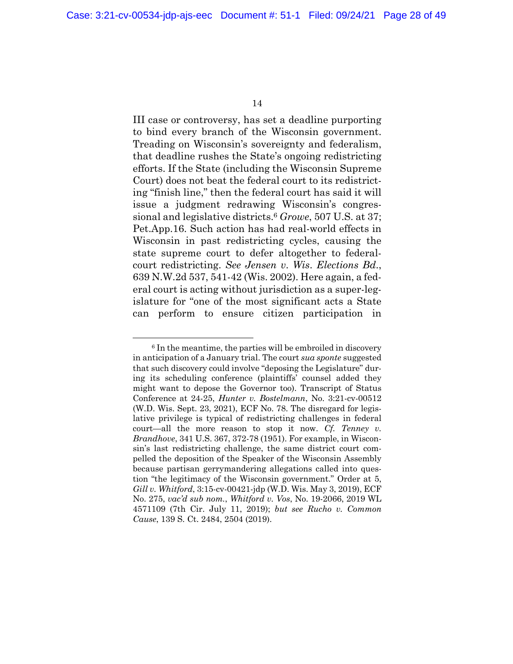III case or controversy, has set a deadline purporting to bind every branch of the Wisconsin government. Treading on Wisconsin's sovereignty and federalism, that deadline rushes the State's ongoing redistricting efforts. If the State (including the Wisconsin Supreme Court) does not beat the federal court to its redistricting "finish line," then the federal court has said it will issue a judgment redrawing Wisconsin's congressional and legislative districts.<sup>6</sup> *Growe*, 507 U.S. at 37; Pet.App.16. Such action has had real-world effects in Wisconsin in past redistricting cycles, causing the state supreme court to defer altogether to federalcourt redistricting. *See Jensen v*. *Wis*. *Elections Bd*., 639 N.W.2d 537, 541-42 (Wis. 2002). Here again, a federal court is acting without jurisdiction as a super-legislature for "one of the most significant acts a State can perform to ensure citizen participation in

<sup>6</sup> In the meantime, the parties will be embroiled in discovery in anticipation of a January trial. The court *sua sponte* suggested that such discovery could involve "deposing the Legislature" during its scheduling conference (plaintiffs' counsel added they might want to depose the Governor too). Transcript of Status Conference at 24-25, *Hunter v. Bostelmann*, No. 3:21-cv-00512 (W.D. Wis. Sept. 23, 2021), ECF No. 78. The disregard for legislative privilege is typical of redistricting challenges in federal court—all the more reason to stop it now. *Cf. Tenney v. Brandhove*, 341 U.S. 367, 372-78 (1951). For example, in Wisconsin's last redistricting challenge, the same district court compelled the deposition of the Speaker of the Wisconsin Assembly because partisan gerrymandering allegations called into question "the legitimacy of the Wisconsin government." Order at 5, *Gill v. Whitford*, 3:15-cv-00421-jdp (W.D. Wis. May 3, 2019), ECF No. 275, *vac'd sub nom.*, *Whitford v. Vos*, No. 19-2066, 2019 WL 4571109 (7th Cir. July 11, 2019); *but see Rucho v. Common Cause*, 139 S. Ct. 2484, 2504 (2019).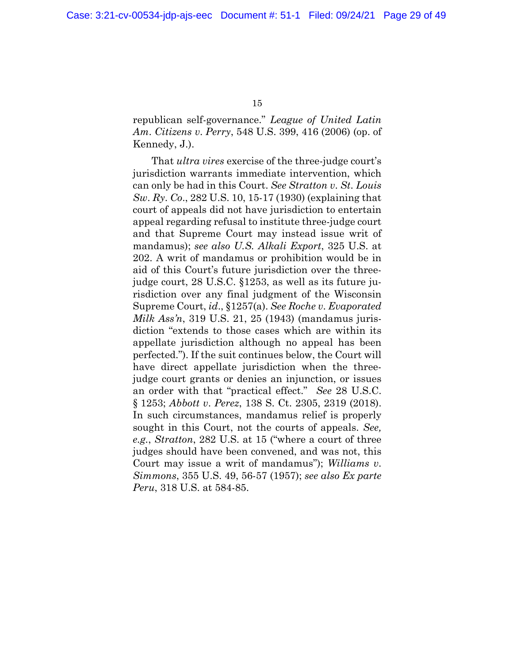republican self-governance." *League of United Latin Am*. *Citizens v*. *Perry*, 548 U.S. 399, 416 (2006) (op. of Kennedy, J.).

That *ultra vires* exercise of the three-judge court's jurisdiction warrants immediate intervention, which can only be had in this Court. *See Stratton v*. *St*. *Louis Sw*. *Ry*. *Co*., 282 U.S. 10, 15-17 (1930) (explaining that court of appeals did not have jurisdiction to entertain appeal regarding refusal to institute three-judge court and that Supreme Court may instead issue writ of mandamus); *see also U.S. Alkali Export*, 325 U.S. at 202. A writ of mandamus or prohibition would be in aid of this Court's future jurisdiction over the threejudge court, 28 U.S.C. §1253, as well as its future jurisdiction over any final judgment of the Wisconsin Supreme Court, *id*., §1257(a). *See Roche v*. *Evaporated Milk Ass'n*, 319 U.S. 21, 25 (1943) (mandamus jurisdiction "extends to those cases which are within its appellate jurisdiction although no appeal has been perfected."). If the suit continues below, the Court will have direct appellate jurisdiction when the threejudge court grants or denies an injunction, or issues an order with that "practical effect." *See* 28 U.S.C. § 1253; *Abbott v*. *Perez*, 138 S. Ct. 2305, 2319 (2018). In such circumstances, mandamus relief is properly sought in this Court, not the courts of appeals. *See, e.g.*, *Stratton*, 282 U.S. at 15 ("where a court of three judges should have been convened, and was not, this Court may issue a writ of mandamus"); *Williams v*. *Simmons*, 355 U.S. 49, 56-57 (1957); *see also Ex parte Peru*, 318 U.S. at 584-85.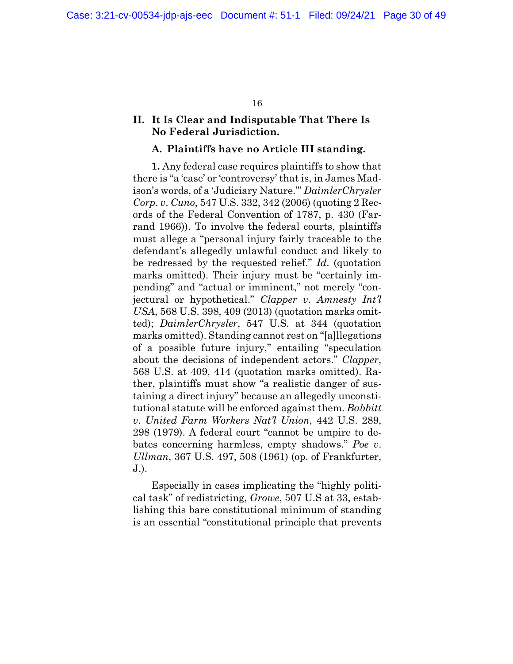#### **II. It Is Clear and Indisputable That There Is No Federal Jurisdiction.**

#### **A. Plaintiffs have no Article III standing.**

**1.** Any federal case requires plaintiffs to show that there is "a 'case' or 'controversy' that is, in James Madison's words, of a 'Judiciary Nature.'" *DaimlerChrysler Corp*. *v*. *Cuno*, 547 U.S. 332, 342 (2006) (quoting 2 Records of the Federal Convention of 1787, p. 430 (Farrand 1966)). To involve the federal courts, plaintiffs must allege a "personal injury fairly traceable to the defendant's allegedly unlawful conduct and likely to be redressed by the requested relief." *Id*. (quotation marks omitted). Their injury must be "certainly impending" and "actual or imminent," not merely "conjectural or hypothetical." *Clapper v*. *Amnesty Int'l USA*, 568 U.S. 398, 409 (2013) (quotation marks omitted); *DaimlerChrysler*, 547 U.S. at 344 (quotation marks omitted). Standing cannot rest on "[a]llegations of a possible future injury," entailing "speculation about the decisions of independent actors." *Clapper*, 568 U.S. at 409, 414 (quotation marks omitted). Rather, plaintiffs must show "a realistic danger of sustaining a direct injury" because an allegedly unconstitutional statute will be enforced against them. *Babbitt v*. *United Farm Workers Nat'l Union*, 442 U.S. 289, 298 (1979). A federal court "cannot be umpire to debates concerning harmless, empty shadows." *Poe v*. *Ullman*, 367 U.S. 497, 508 (1961) (op. of Frankfurter, J.).

Especially in cases implicating the "highly political task" of redistricting, *Growe*, 507 U.S at 33, establishing this bare constitutional minimum of standing is an essential "constitutional principle that prevents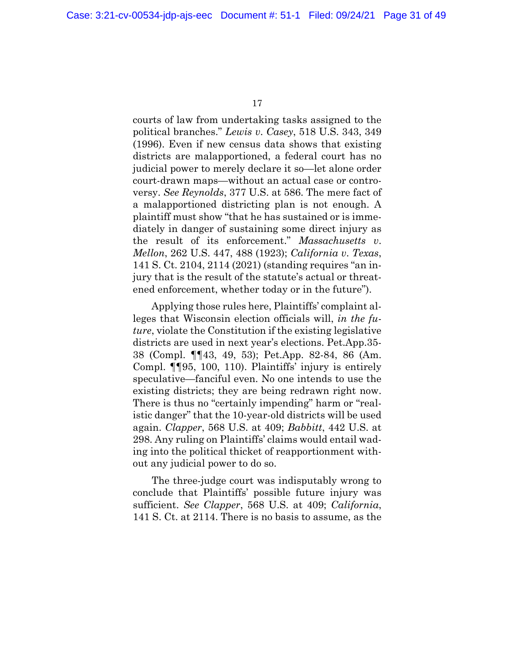courts of law from undertaking tasks assigned to the political branches." *Lewis v*. *Casey*, 518 U.S. 343, 349 (1996). Even if new census data shows that existing districts are malapportioned, a federal court has no judicial power to merely declare it so—let alone order court-drawn maps—without an actual case or controversy. *See Reynolds*, 377 U.S. at 586. The mere fact of a malapportioned districting plan is not enough. A plaintiff must show "that he has sustained or is immediately in danger of sustaining some direct injury as the result of its enforcement." *Massachusetts v*. *Mellon*, 262 U.S. 447, 488 (1923); *California v*. *Texas*, 141 S. Ct. 2104, 2114 (2021) (standing requires "an injury that is the result of the statute's actual or threatened enforcement, whether today or in the future").

Applying those rules here, Plaintiffs' complaint alleges that Wisconsin election officials will, *in the future*, violate the Constitution if the existing legislative districts are used in next year's elections. Pet.App.35- 38 (Compl. ¶¶43, 49, 53); Pet.App. 82-84, 86 (Am. Compl. ¶¶95, 100, 110). Plaintiffs' injury is entirely speculative—fanciful even. No one intends to use the existing districts; they are being redrawn right now. There is thus no "certainly impending" harm or "realistic danger" that the 10-year-old districts will be used again. *Clapper*, 568 U.S. at 409; *Babbitt*, 442 U.S. at 298. Any ruling on Plaintiffs' claims would entail wading into the political thicket of reapportionment without any judicial power to do so.

The three-judge court was indisputably wrong to conclude that Plaintiffs' possible future injury was sufficient. *See Clapper*, 568 U.S. at 409; *California*, 141 S. Ct. at 2114. There is no basis to assume, as the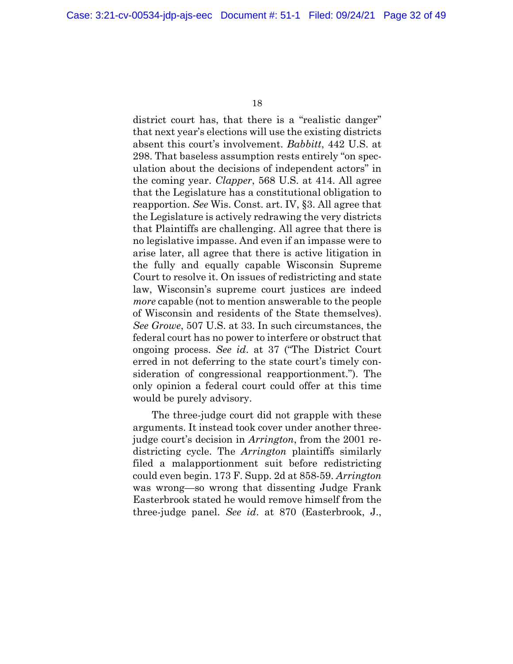district court has, that there is a "realistic danger" that next year's elections will use the existing districts absent this court's involvement. *Babbitt*, 442 U.S. at 298. That baseless assumption rests entirely "on speculation about the decisions of independent actors" in the coming year. *Clapper*, 568 U.S. at 414. All agree that the Legislature has a constitutional obligation to reapportion. *See* Wis. Const. art. IV, §3. All agree that the Legislature is actively redrawing the very districts that Plaintiffs are challenging. All agree that there is no legislative impasse. And even if an impasse were to arise later, all agree that there is active litigation in the fully and equally capable Wisconsin Supreme Court to resolve it. On issues of redistricting and state law, Wisconsin's supreme court justices are indeed *more* capable (not to mention answerable to the people of Wisconsin and residents of the State themselves). *See Growe*, 507 U.S. at 33. In such circumstances, the federal court has no power to interfere or obstruct that ongoing process. *See id*. at 37 ("The District Court erred in not deferring to the state court's timely consideration of congressional reapportionment."). The only opinion a federal court could offer at this time would be purely advisory.

The three-judge court did not grapple with these arguments. It instead took cover under another threejudge court's decision in *Arrington*, from the 2001 redistricting cycle. The *Arrington* plaintiffs similarly filed a malapportionment suit before redistricting could even begin. 173 F. Supp. 2d at 858-59. *Arrington*  was wrong—so wrong that dissenting Judge Frank Easterbrook stated he would remove himself from the three-judge panel. *See id*. at 870 (Easterbrook, J.,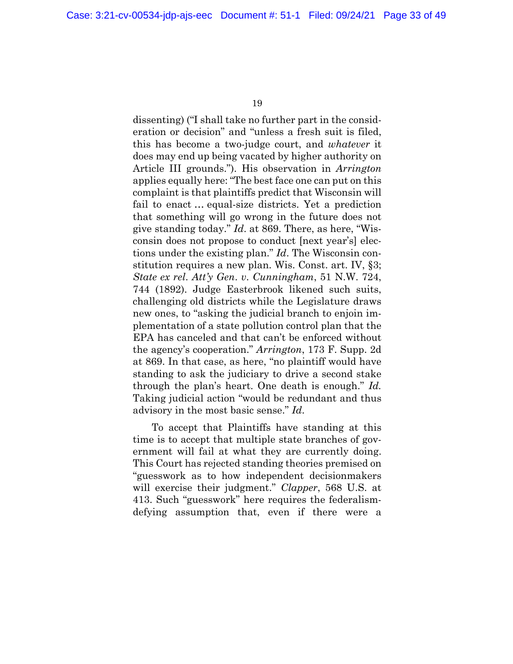dissenting) ("I shall take no further part in the consideration or decision" and "unless a fresh suit is filed, this has become a two-judge court, and *whatever* it does may end up being vacated by higher authority on Article III grounds."). His observation in *Arrington*  applies equally here: "The best face one can put on this complaint is that plaintiffs predict that Wisconsin will fail to enact … equal-size districts. Yet a prediction that something will go wrong in the future does not give standing today." *Id*. at 869. There, as here, "Wisconsin does not propose to conduct [next year's] elections under the existing plan." *Id*. The Wisconsin constitution requires a new plan. Wis. Const. art. IV, §3; *State ex rel*. *Att'y Gen*. *v*. *Cunningham*, 51 N.W. 724, 744 (1892). Judge Easterbrook likened such suits, challenging old districts while the Legislature draws new ones, to "asking the judicial branch to enjoin implementation of a state pollution control plan that the EPA has canceled and that can't be enforced without the agency's cooperation." *Arrington*, 173 F. Supp. 2d at 869. In that case, as here, "no plaintiff would have standing to ask the judiciary to drive a second stake through the plan's heart. One death is enough." *Id.* Taking judicial action "would be redundant and thus advisory in the most basic sense." *Id*.

To accept that Plaintiffs have standing at this time is to accept that multiple state branches of government will fail at what they are currently doing. This Court has rejected standing theories premised on "guesswork as to how independent decisionmakers will exercise their judgment." *Clapper*, 568 U.S. at 413. Such "guesswork" here requires the federalismdefying assumption that, even if there were a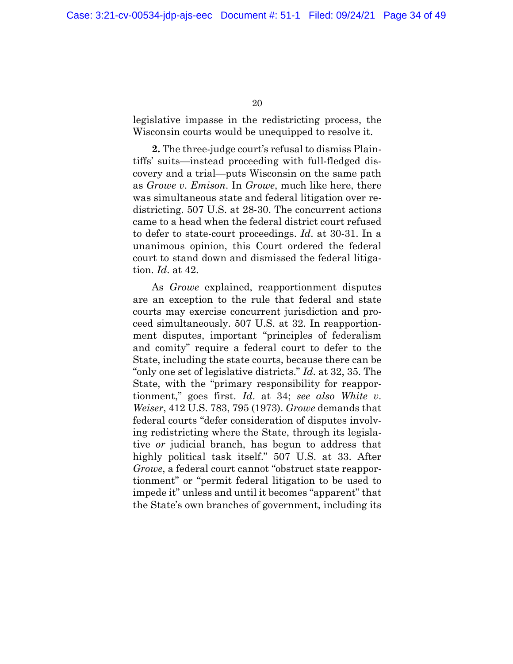legislative impasse in the redistricting process, the Wisconsin courts would be unequipped to resolve it.

**2.** The three-judge court's refusal to dismiss Plaintiffs' suits—instead proceeding with full-fledged discovery and a trial—puts Wisconsin on the same path as *Growe v*. *Emison*. In *Growe*, much like here, there was simultaneous state and federal litigation over redistricting. 507 U.S. at 28-30. The concurrent actions came to a head when the federal district court refused to defer to state-court proceedings. *Id*. at 30-31. In a unanimous opinion, this Court ordered the federal court to stand down and dismissed the federal litigation. *Id*. at 42.

As *Growe* explained, reapportionment disputes are an exception to the rule that federal and state courts may exercise concurrent jurisdiction and proceed simultaneously. 507 U.S. at 32. In reapportionment disputes, important "principles of federalism and comity" require a federal court to defer to the State, including the state courts, because there can be "only one set of legislative districts." *Id*. at 32, 35. The State, with the "primary responsibility for reapportionment," goes first. *Id*. at 34; *see also White v*. *Weiser*, 412 U.S. 783, 795 (1973). *Growe* demands that federal courts "defer consideration of disputes involving redistricting where the State, through its legislative *or* judicial branch, has begun to address that highly political task itself." 507 U.S. at 33. After *Growe*, a federal court cannot "obstruct state reapportionment" or "permit federal litigation to be used to impede it" unless and until it becomes "apparent" that the State's own branches of government, including its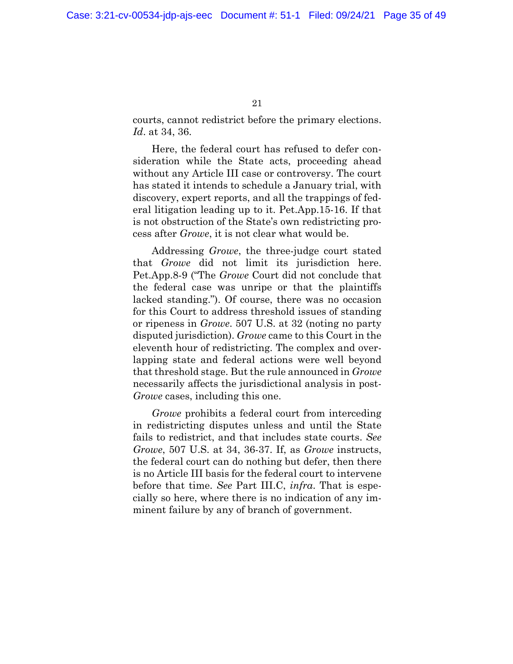courts, cannot redistrict before the primary elections. *Id*. at 34, 36.

Here, the federal court has refused to defer consideration while the State acts, proceeding ahead without any Article III case or controversy. The court has stated it intends to schedule a January trial, with discovery, expert reports, and all the trappings of federal litigation leading up to it. Pet.App.15-16. If that is not obstruction of the State's own redistricting process after *Growe*, it is not clear what would be.

Addressing *Growe*, the three-judge court stated that *Growe* did not limit its jurisdiction here. Pet.App.8-9 ("The *Growe* Court did not conclude that the federal case was unripe or that the plaintiffs lacked standing."). Of course, there was no occasion for this Court to address threshold issues of standing or ripeness in *Growe*. 507 U.S. at 32 (noting no party disputed jurisdiction). *Growe* came to this Court in the eleventh hour of redistricting. The complex and overlapping state and federal actions were well beyond that threshold stage. But the rule announced in *Growe* necessarily affects the jurisdictional analysis in post-*Growe* cases, including this one.

*Growe* prohibits a federal court from interceding in redistricting disputes unless and until the State fails to redistrict, and that includes state courts. *See Growe*, 507 U.S. at 34, 36-37. If, as *Growe* instructs, the federal court can do nothing but defer, then there is no Article III basis for the federal court to intervene before that time. *See* Part III.C, *infra*. That is especially so here, where there is no indication of any imminent failure by any of branch of government.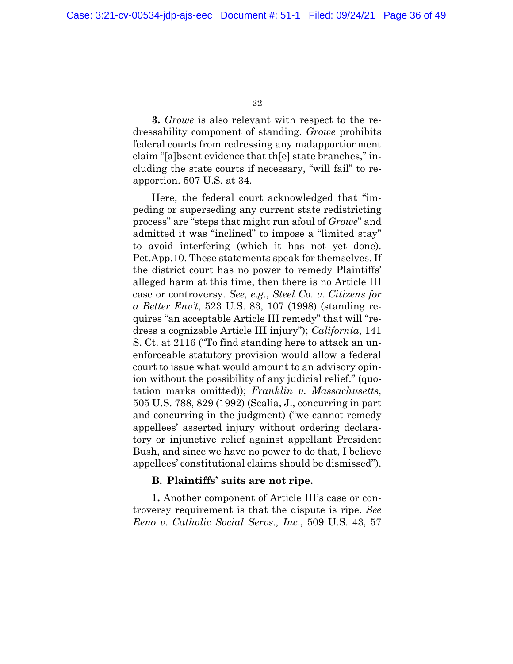**3.** *Growe* is also relevant with respect to the redressability component of standing. *Growe* prohibits federal courts from redressing any malapportionment claim "[a]bsent evidence that th[e] state branches," including the state courts if necessary, "will fail" to reapportion. 507 U.S. at 34.

Here, the federal court acknowledged that "impeding or superseding any current state redistricting process" are "steps that might run afoul of *Growe*" and admitted it was "inclined" to impose a "limited stay" to avoid interfering (which it has not yet done). Pet.App.10. These statements speak for themselves. If the district court has no power to remedy Plaintiffs' alleged harm at this time, then there is no Article III case or controversy. *See, e*.*g*., *Steel Co*. *v*. *Citizens for a Better Env't*, 523 U.S. 83, 107 (1998) (standing requires "an acceptable Article III remedy" that will "redress a cognizable Article III injury"); *California*, 141 S. Ct. at 2116 ("To find standing here to attack an unenforceable statutory provision would allow a federal court to issue what would amount to an advisory opinion without the possibility of any judicial relief." (quotation marks omitted)); *Franklin v*. *Massachusetts*, 505 U.S. 788, 829 (1992) (Scalia, J., concurring in part and concurring in the judgment) ("we cannot remedy appellees' asserted injury without ordering declaratory or injunctive relief against appellant President Bush, and since we have no power to do that, I believe appellees' constitutional claims should be dismissed").

#### **B. Plaintiffs' suits are not ripe.**

**1.** Another component of Article III's case or controversy requirement is that the dispute is ripe. *See Reno v*. *Catholic Social Servs*.*, Inc*., 509 U.S. 43, 57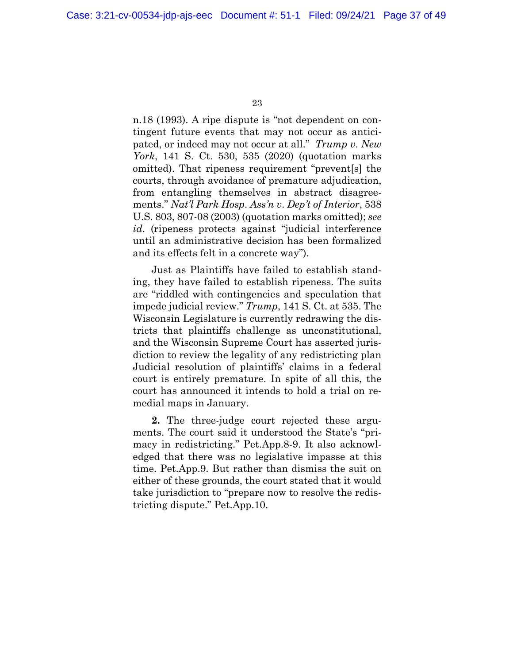n.18 (1993). A ripe dispute is "not dependent on contingent future events that may not occur as anticipated, or indeed may not occur at all." *Trump v*. *New York*, 141 S. Ct. 530, 535 (2020) (quotation marks omitted). That ripeness requirement "prevent[s] the courts, through avoidance of premature adjudication, from entangling themselves in abstract disagreements." *Nat'l Park Hosp*. *Ass'n v*. *Dep't of Interior*, 538 U.S. 803, 807-08 (2003) (quotation marks omitted); *see id*. (ripeness protects against "judicial interference until an administrative decision has been formalized and its effects felt in a concrete way").

Just as Plaintiffs have failed to establish standing, they have failed to establish ripeness. The suits are "riddled with contingencies and speculation that impede judicial review." *Trump*, 141 S. Ct. at 535. The Wisconsin Legislature is currently redrawing the districts that plaintiffs challenge as unconstitutional, and the Wisconsin Supreme Court has asserted jurisdiction to review the legality of any redistricting plan Judicial resolution of plaintiffs' claims in a federal court is entirely premature. In spite of all this, the court has announced it intends to hold a trial on remedial maps in January.

**2.** The three-judge court rejected these arguments. The court said it understood the State's "primacy in redistricting." Pet.App.8-9. It also acknowledged that there was no legislative impasse at this time. Pet.App.9. But rather than dismiss the suit on either of these grounds, the court stated that it would take jurisdiction to "prepare now to resolve the redistricting dispute." Pet.App.10.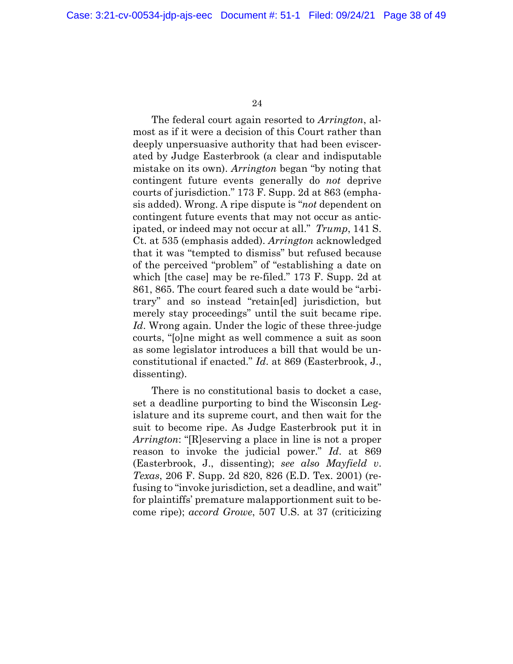The federal court again resorted to *Arrington*, almost as if it were a decision of this Court rather than deeply unpersuasive authority that had been eviscerated by Judge Easterbrook (a clear and indisputable mistake on its own). *Arrington* began "by noting that contingent future events generally do *not* deprive courts of jurisdiction." 173 F. Supp. 2d at 863 (emphasis added). Wrong. A ripe dispute is "*not* dependent on contingent future events that may not occur as anticipated, or indeed may not occur at all." *Trump*, 141 S. Ct. at 535 (emphasis added). *Arrington* acknowledged that it was "tempted to dismiss" but refused because of the perceived "problem" of "establishing a date on which [the case] may be re-filed." 173 F. Supp. 2d at 861, 865. The court feared such a date would be "arbitrary" and so instead "retain[ed] jurisdiction, but merely stay proceedings" until the suit became ripe. *Id*. Wrong again. Under the logic of these three-judge courts, "[o]ne might as well commence a suit as soon as some legislator introduces a bill that would be unconstitutional if enacted." *Id*. at 869 (Easterbrook, J., dissenting).

There is no constitutional basis to docket a case, set a deadline purporting to bind the Wisconsin Legislature and its supreme court, and then wait for the suit to become ripe. As Judge Easterbrook put it in *Arrington*: "[R]eserving a place in line is not a proper reason to invoke the judicial power." *Id*. at 869 (Easterbrook, J., dissenting); *see also Mayfield v*. *Texas*, 206 F. Supp. 2d 820, 826 (E.D. Tex. 2001) (refusing to "invoke jurisdiction, set a deadline, and wait" for plaintiffs' premature malapportionment suit to become ripe); *accord Growe*, 507 U.S. at 37 (criticizing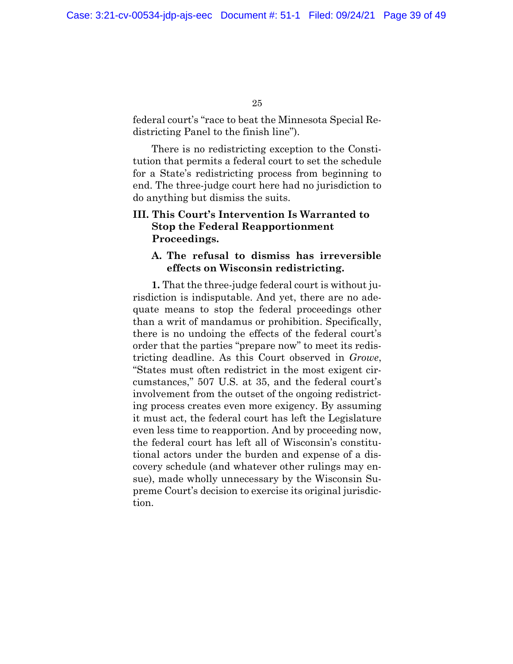federal court's "race to beat the Minnesota Special Redistricting Panel to the finish line").

There is no redistricting exception to the Constitution that permits a federal court to set the schedule for a State's redistricting process from beginning to end. The three-judge court here had no jurisdiction to do anything but dismiss the suits.

### **III. This Court's Intervention Is Warranted to Stop the Federal Reapportionment Proceedings.**

#### **A. The refusal to dismiss has irreversible effects on Wisconsin redistricting.**

**1.** That the three-judge federal court is without jurisdiction is indisputable. And yet, there are no adequate means to stop the federal proceedings other than a writ of mandamus or prohibition. Specifically, there is no undoing the effects of the federal court's order that the parties "prepare now" to meet its redistricting deadline. As this Court observed in *Growe*, "States must often redistrict in the most exigent circumstances," 507 U.S. at 35, and the federal court's involvement from the outset of the ongoing redistricting process creates even more exigency. By assuming it must act, the federal court has left the Legislature even less time to reapportion. And by proceeding now, the federal court has left all of Wisconsin's constitutional actors under the burden and expense of a discovery schedule (and whatever other rulings may ensue), made wholly unnecessary by the Wisconsin Supreme Court's decision to exercise its original jurisdiction.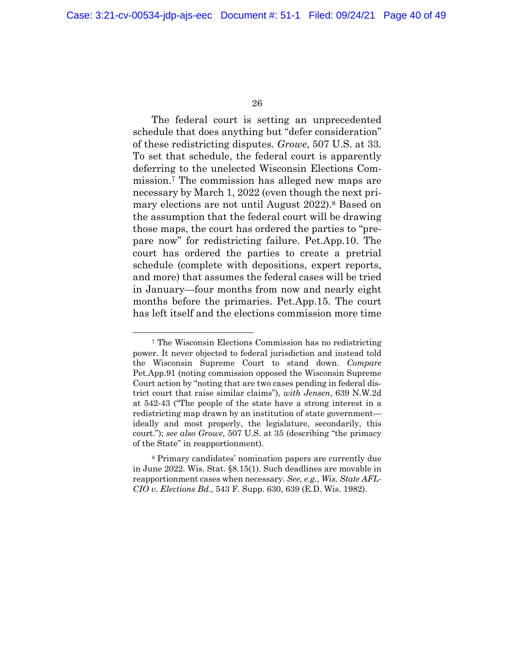The federal court is setting an unprecedented schedule that does anything but "defer consideration" of these redistricting disputes. *Growe*, 507 U.S. at 33. To set that schedule, the federal court is apparently deferring to the unelected Wisconsin Elections Commission.<sup>7</sup> The commission has alleged new maps are necessary by March 1, 2022 (even though the next primary elections are not until August 2022).<sup>8</sup> Based on the assumption that the federal court will be drawing those maps, the court has ordered the parties to "prepare now" for redistricting failure. Pet.App.10. The court has ordered the parties to create a pretrial schedule (complete with depositions, expert reports, and more) that assumes the federal cases will be tried in January—four months from now and nearly eight months before the primaries. Pet.App.15. The court has left itself and the elections commission more time

<sup>7</sup> The Wisconsin Elections Commission has no redistricting power. It never objected to federal jurisdiction and instead told the Wisconsin Supreme Court to stand down. *Compare*  Pet.App.91 (noting commission opposed the Wisconsin Supreme Court action by "noting that are two cases pending in federal district court that raise similar claims"), *with Jensen*, 639 N.W.2d at 542-43 ("The people of the state have a strong interest in a redistricting map drawn by an institution of state government ideally and most properly, the legislature, secondarily, this court."); *see also Growe*, 507 U.S. at 35 (describing "the primacy of the State" in reapportionment).

<sup>8</sup> Primary candidates' nomination papers are currently due in June 2022. Wis. Stat. §8.15(1). Such deadlines are movable in reapportionment cases when necessary. *See, e.g.*, *Wis. State AFL-CIO v*. *Elections Bd*., 543 F. Supp. 630, 639 (E.D. Wis. 1982).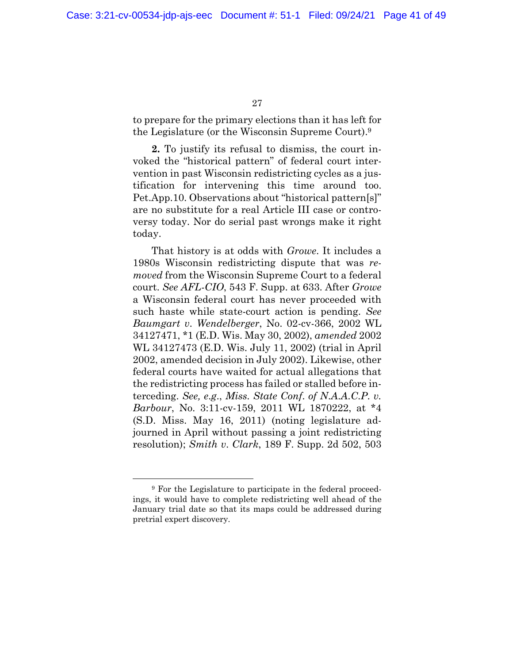to prepare for the primary elections than it has left for the Legislature (or the Wisconsin Supreme Court).<sup>9</sup>

**2.** To justify its refusal to dismiss, the court invoked the "historical pattern" of federal court intervention in past Wisconsin redistricting cycles as a justification for intervening this time around too. Pet.App.10. Observations about "historical pattern[s]" are no substitute for a real Article III case or controversy today. Nor do serial past wrongs make it right today.

That history is at odds with *Growe*. It includes a 1980s Wisconsin redistricting dispute that was *removed* from the Wisconsin Supreme Court to a federal court. *See AFL-CIO*, 543 F. Supp. at 633. After *Growe* a Wisconsin federal court has never proceeded with such haste while state-court action is pending. *See Baumgart v*. *Wendelberger*, No. 02-cv-366, 2002 WL 34127471, \*1 (E.D. Wis. May 30, 2002), *amended* 2002 WL 34127473 (E.D. Wis. July 11, 2002) (trial in April 2002, amended decision in July 2002). Likewise, other federal courts have waited for actual allegations that the redistricting process has failed or stalled before interceding. *See, e*.*g*., *Miss. State Conf*. *of N*.*A*.*A*.*C*.*P*. *v. Barbour*, No. 3:11-cv-159, 2011 WL 1870222, at \*4 (S.D. Miss. May 16, 2011) (noting legislature adjourned in April without passing a joint redistricting resolution); *Smith v*. *Clark*, 189 F. Supp. 2d 502, 503

<sup>9</sup> For the Legislature to participate in the federal proceedings, it would have to complete redistricting well ahead of the January trial date so that its maps could be addressed during pretrial expert discovery.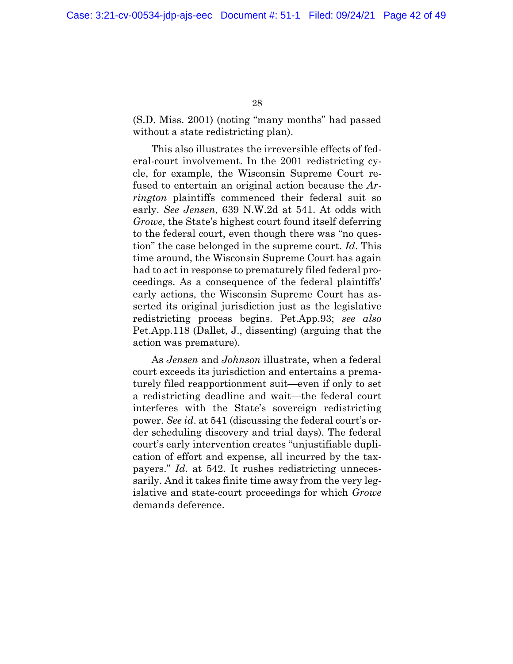(S.D. Miss. 2001) (noting "many months" had passed without a state redistricting plan).

This also illustrates the irreversible effects of federal-court involvement. In the 2001 redistricting cycle, for example, the Wisconsin Supreme Court refused to entertain an original action because the *Arrington* plaintiffs commenced their federal suit so early. *See Jensen*, 639 N.W.2d at 541. At odds with *Growe*, the State's highest court found itself deferring to the federal court, even though there was "no question" the case belonged in the supreme court. *Id*. This time around, the Wisconsin Supreme Court has again had to act in response to prematurely filed federal proceedings. As a consequence of the federal plaintiffs' early actions, the Wisconsin Supreme Court has asserted its original jurisdiction just as the legislative redistricting process begins. Pet.App.93; *see also*  Pet.App.118 (Dallet, J., dissenting) (arguing that the action was premature).

As *Jensen* and *Johnson* illustrate, when a federal court exceeds its jurisdiction and entertains a prematurely filed reapportionment suit—even if only to set a redistricting deadline and wait—the federal court interferes with the State's sovereign redistricting power. *See id*. at 541 (discussing the federal court's order scheduling discovery and trial days). The federal court's early intervention creates "unjustifiable duplication of effort and expense, all incurred by the taxpayers." *Id*. at 542. It rushes redistricting unnecessarily. And it takes finite time away from the very legislative and state-court proceedings for which *Growe*  demands deference.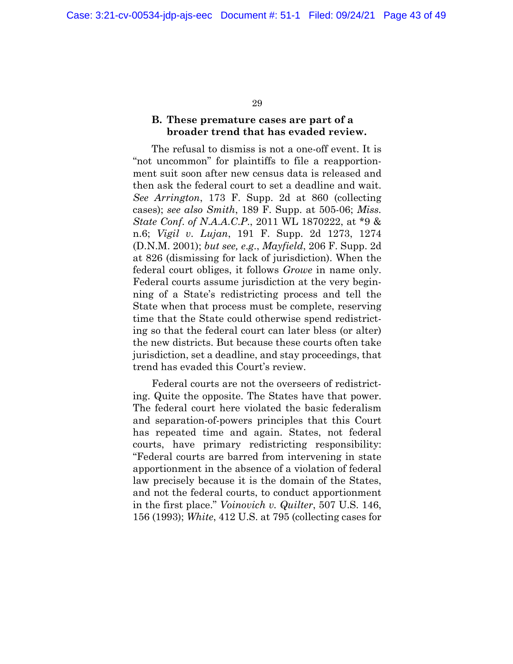#### **B. These premature cases are part of a broader trend that has evaded review.**

The refusal to dismiss is not a one-off event. It is "not uncommon" for plaintiffs to file a reapportionment suit soon after new census data is released and then ask the federal court to set a deadline and wait. *See Arrington*, 173 F. Supp. 2d at 860 (collecting cases); *see also Smith*, 189 F. Supp. at 505-06; *Miss. State Conf*. *of N*.*A*.*A*.*C*.*P*., 2011 WL 1870222, at \*9 & n.6; *Vigil v*. *Lujan*, 191 F. Supp. 2d 1273, 1274 (D.N.M. 2001); *but see, e*.*g*., *Mayfield*, 206 F. Supp. 2d at 826 (dismissing for lack of jurisdiction). When the federal court obliges, it follows *Growe* in name only. Federal courts assume jurisdiction at the very beginning of a State's redistricting process and tell the State when that process must be complete, reserving time that the State could otherwise spend redistricting so that the federal court can later bless (or alter) the new districts. But because these courts often take jurisdiction, set a deadline, and stay proceedings, that trend has evaded this Court's review.

Federal courts are not the overseers of redistricting. Quite the opposite. The States have that power. The federal court here violated the basic federalism and separation-of-powers principles that this Court has repeated time and again. States, not federal courts, have primary redistricting responsibility: "Federal courts are barred from intervening in state apportionment in the absence of a violation of federal law precisely because it is the domain of the States, and not the federal courts, to conduct apportionment in the first place." *Voinovich v. Quilter*, 507 U.S. 146, 156 (1993); *White*, 412 U.S. at 795 (collecting cases for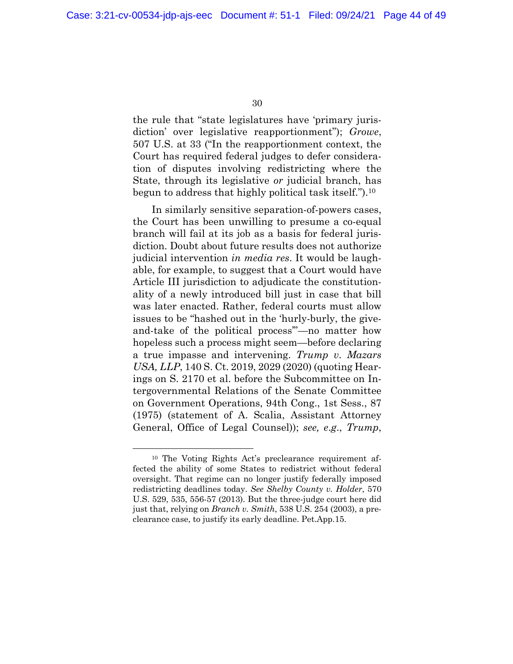the rule that "state legislatures have 'primary jurisdiction' over legislative reapportionment"); *Growe*, 507 U.S. at 33 ("In the reapportionment context, the Court has required federal judges to defer consideration of disputes involving redistricting where the State, through its legislative *or* judicial branch, has begun to address that highly political task itself.").<sup>10</sup>

In similarly sensitive separation-of-powers cases, the Court has been unwilling to presume a co-equal branch will fail at its job as a basis for federal jurisdiction. Doubt about future results does not authorize judicial intervention *in media res*. It would be laughable, for example, to suggest that a Court would have Article III jurisdiction to adjudicate the constitutionality of a newly introduced bill just in case that bill was later enacted. Rather, federal courts must allow issues to be "hashed out in the 'hurly-burly, the giveand-take of the political process'"—no matter how hopeless such a process might seem—before declaring a true impasse and intervening. *Trump v*. *Mazars USA, LLP*, 140 S. Ct. 2019, 2029 (2020) (quoting Hearings on S. 2170 et al. before the Subcommittee on Intergovernmental Relations of the Senate Committee on Government Operations, 94th Cong., 1st Sess., 87 (1975) (statement of A. Scalia, Assistant Attorney General, Office of Legal Counsel)); *see, e*.*g*., *Trump*,

<sup>10</sup> The Voting Rights Act's preclearance requirement affected the ability of some States to redistrict without federal oversight. That regime can no longer justify federally imposed redistricting deadlines today. *See Shelby County v. Holder*, 570 U.S. 529, 535, 556-57 (2013). But the three-judge court here did just that, relying on *Branch v. Smith*, 538 U.S. 254 (2003), a preclearance case, to justify its early deadline. Pet.App.15.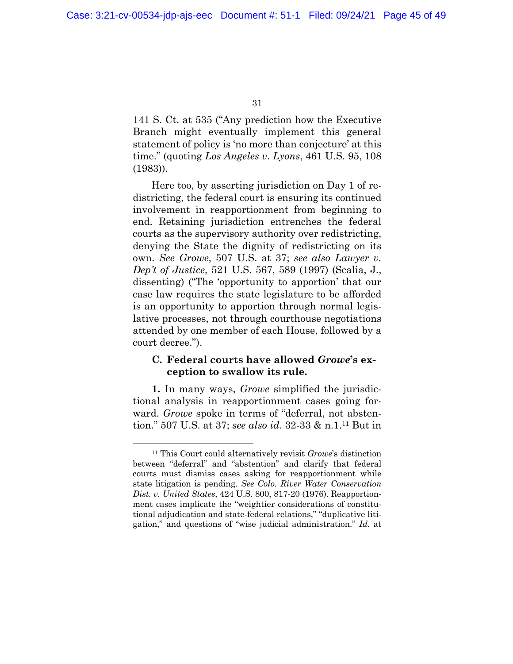141 S. Ct. at 535 ("Any prediction how the Executive Branch might eventually implement this general statement of policy is 'no more than conjecture' at this time." (quoting *Los Angeles v*. *Lyons*, 461 U.S. 95, 108 (1983)).

Here too, by asserting jurisdiction on Day 1 of redistricting, the federal court is ensuring its continued involvement in reapportionment from beginning to end. Retaining jurisdiction entrenches the federal courts as the supervisory authority over redistricting, denying the State the dignity of redistricting on its own. *See Growe*, 507 U.S. at 37; *see also Lawyer v. Dep't of Justice*, 521 U.S. 567, 589 (1997) (Scalia, J., dissenting) ("The 'opportunity to apportion' that our case law requires the state legislature to be afforded is an opportunity to apportion through normal legislative processes, not through courthouse negotiations attended by one member of each House, followed by a court decree.").

#### **C. Federal courts have allowed** *Growe***'s exception to swallow its rule.**

**1.** In many ways, *Growe* simplified the jurisdictional analysis in reapportionment cases going forward. *Growe* spoke in terms of "deferral, not abstention." 507 U.S. at 37; *see also id*. 32-33 & n.1.<sup>11</sup> But in

<sup>11</sup> This Court could alternatively revisit *Growe*'s distinction between "deferral" and "abstention" and clarify that federal courts must dismiss cases asking for reapportionment while state litigation is pending. *See Colo. River Water Conservation Dist. v. United States*, 424 U.S. 800, 817-20 (1976). Reapportionment cases implicate the "weightier considerations of constitutional adjudication and state-federal relations," "duplicative litigation," and questions of "wise judicial administration." *Id.* at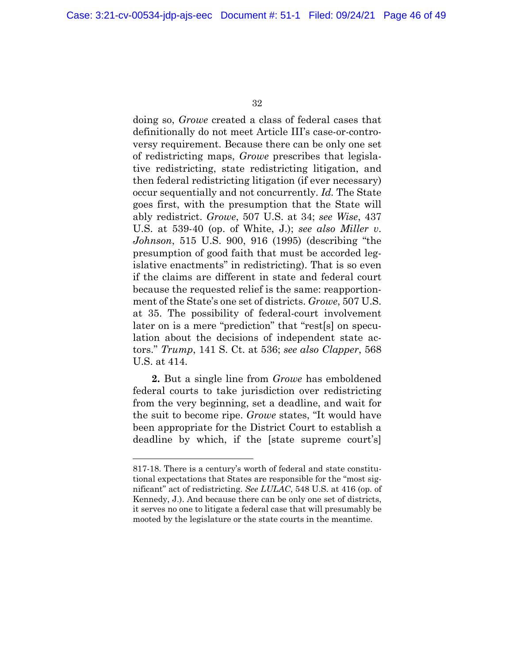doing so, *Growe* created a class of federal cases that definitionally do not meet Article III's case-or-controversy requirement. Because there can be only one set of redistricting maps, *Growe* prescribes that legislative redistricting, state redistricting litigation, and then federal redistricting litigation (if ever necessary) occur sequentially and not concurrently. *Id.* The State goes first, with the presumption that the State will ably redistrict. *Growe*, 507 U.S. at 34; *see Wise*, 437 U.S. at 539-40 (op. of White, J.); *see also Miller v*. *Johnson*, 515 U.S. 900, 916 (1995) (describing "the presumption of good faith that must be accorded legislative enactments" in redistricting). That is so even if the claims are different in state and federal court because the requested relief is the same: reapportionment of the State's one set of districts. *Growe*, 507 U.S. at 35. The possibility of federal-court involvement later on is a mere "prediction" that "rest[s] on speculation about the decisions of independent state actors." *Trump*, 141 S. Ct. at 536; *see also Clapper*, 568 U.S. at 414.

**2.** But a single line from *Growe* has emboldened federal courts to take jurisdiction over redistricting from the very beginning, set a deadline, and wait for the suit to become ripe. *Growe* states, "It would have been appropriate for the District Court to establish a deadline by which, if the [state supreme court's]

<sup>817-18.</sup> There is a century's worth of federal and state constitutional expectations that States are responsible for the "most significant" act of redistricting. *See LULAC*, 548 U.S. at 416 (op. of Kennedy, J.). And because there can be only one set of districts, it serves no one to litigate a federal case that will presumably be mooted by the legislature or the state courts in the meantime.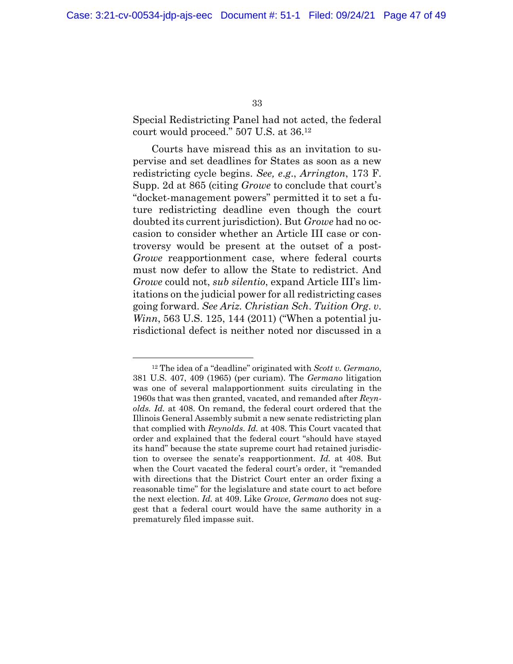Special Redistricting Panel had not acted, the federal court would proceed." 507 U.S. at 36.<sup>12</sup>

Courts have misread this as an invitation to supervise and set deadlines for States as soon as a new redistricting cycle begins. *See, e*.*g*., *Arrington*, 173 F. Supp. 2d at 865 (citing *Growe* to conclude that court's "docket-management powers" permitted it to set a future redistricting deadline even though the court doubted its current jurisdiction). But *Growe* had no occasion to consider whether an Article III case or controversy would be present at the outset of a post-*Growe* reapportionment case, where federal courts must now defer to allow the State to redistrict. And *Growe* could not, *sub silentio*, expand Article III's limitations on the judicial power for all redistricting cases going forward. *See Ariz. Christian Sch*. *Tuition Org*. *v*. *Winn*, 563 U.S. 125, 144 (2011) ("When a potential jurisdictional defect is neither noted nor discussed in a

<sup>12</sup> The idea of a "deadline" originated with *Scott v. Germano*, 381 U.S. 407, 409 (1965) (per curiam). The *Germano* litigation was one of several malapportionment suits circulating in the 1960s that was then granted, vacated, and remanded after *Reynolds. Id.* at 408. On remand, the federal court ordered that the Illinois General Assembly submit a new senate redistricting plan that complied with *Reynolds*. *Id.* at 408. This Court vacated that order and explained that the federal court "should have stayed its hand" because the state supreme court had retained jurisdiction to oversee the senate's reapportionment. *Id.* at 408. But when the Court vacated the federal court's order, it "remanded with directions that the District Court enter an order fixing a reasonable time" for the legislature and state court to act before the next election. *Id.* at 409. Like *Growe*, *Germano* does not suggest that a federal court would have the same authority in a prematurely filed impasse suit.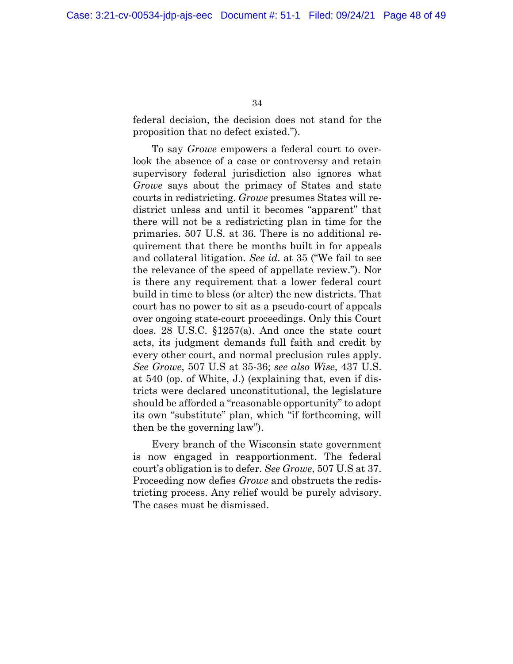federal decision, the decision does not stand for the proposition that no defect existed.").

To say *Growe* empowers a federal court to overlook the absence of a case or controversy and retain supervisory federal jurisdiction also ignores what *Growe* says about the primacy of States and state courts in redistricting. *Growe* presumes States will redistrict unless and until it becomes "apparent" that there will not be a redistricting plan in time for the primaries. 507 U.S. at 36. There is no additional requirement that there be months built in for appeals and collateral litigation. *See id*. at 35 ("We fail to see the relevance of the speed of appellate review."). Nor is there any requirement that a lower federal court build in time to bless (or alter) the new districts. That court has no power to sit as a pseudo-court of appeals over ongoing state-court proceedings. Only this Court does. 28 U.S.C. §1257(a). And once the state court acts, its judgment demands full faith and credit by every other court, and normal preclusion rules apply. *See Growe*, 507 U.S at 35-36; *see also Wise*, 437 U.S. at 540 (op. of White, J.) (explaining that, even if districts were declared unconstitutional, the legislature should be afforded a "reasonable opportunity" to adopt its own "substitute" plan, which "if forthcoming, will then be the governing law").

Every branch of the Wisconsin state government is now engaged in reapportionment. The federal court's obligation is to defer. *See Growe*, 507 U.S at 37. Proceeding now defies *Growe* and obstructs the redistricting process. Any relief would be purely advisory. The cases must be dismissed.